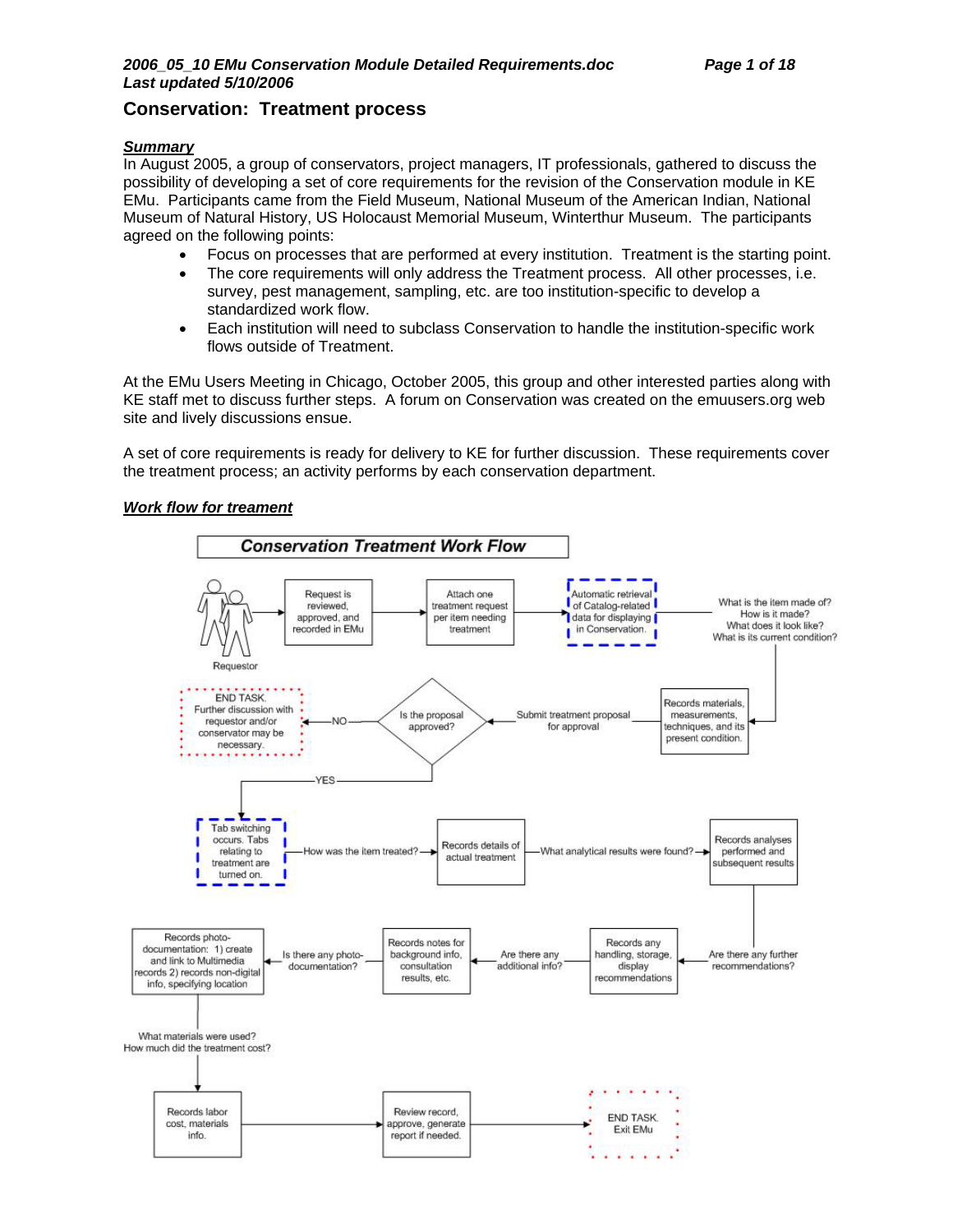# **Conservation: Treatment process**

### *Summary*

In August 2005, a group of conservators, project managers, IT professionals, gathered to discuss the possibility of developing a set of core requirements for the revision of the Conservation module in KE EMu. Participants came from the Field Museum, National Museum of the American Indian, National Museum of Natural History, US Holocaust Memorial Museum, Winterthur Museum. The participants agreed on the following points:

- Focus on processes that are performed at every institution. Treatment is the starting point.
- The core requirements will only address the Treatment process. All other processes, i.e. survey, pest management, sampling, etc. are too institution-specific to develop a standardized work flow.
- Each institution will need to subclass Conservation to handle the institution-specific work flows outside of Treatment.

At the EMu Users Meeting in Chicago, October 2005, this group and other interested parties along with KE staff met to discuss further steps. A forum on Conservation was created on the emuusers.org web site and lively discussions ensue.

A set of core requirements is ready for delivery to KE for further discussion. These requirements cover the treatment process; an activity performs by each conservation department.

### *Work flow for treament*

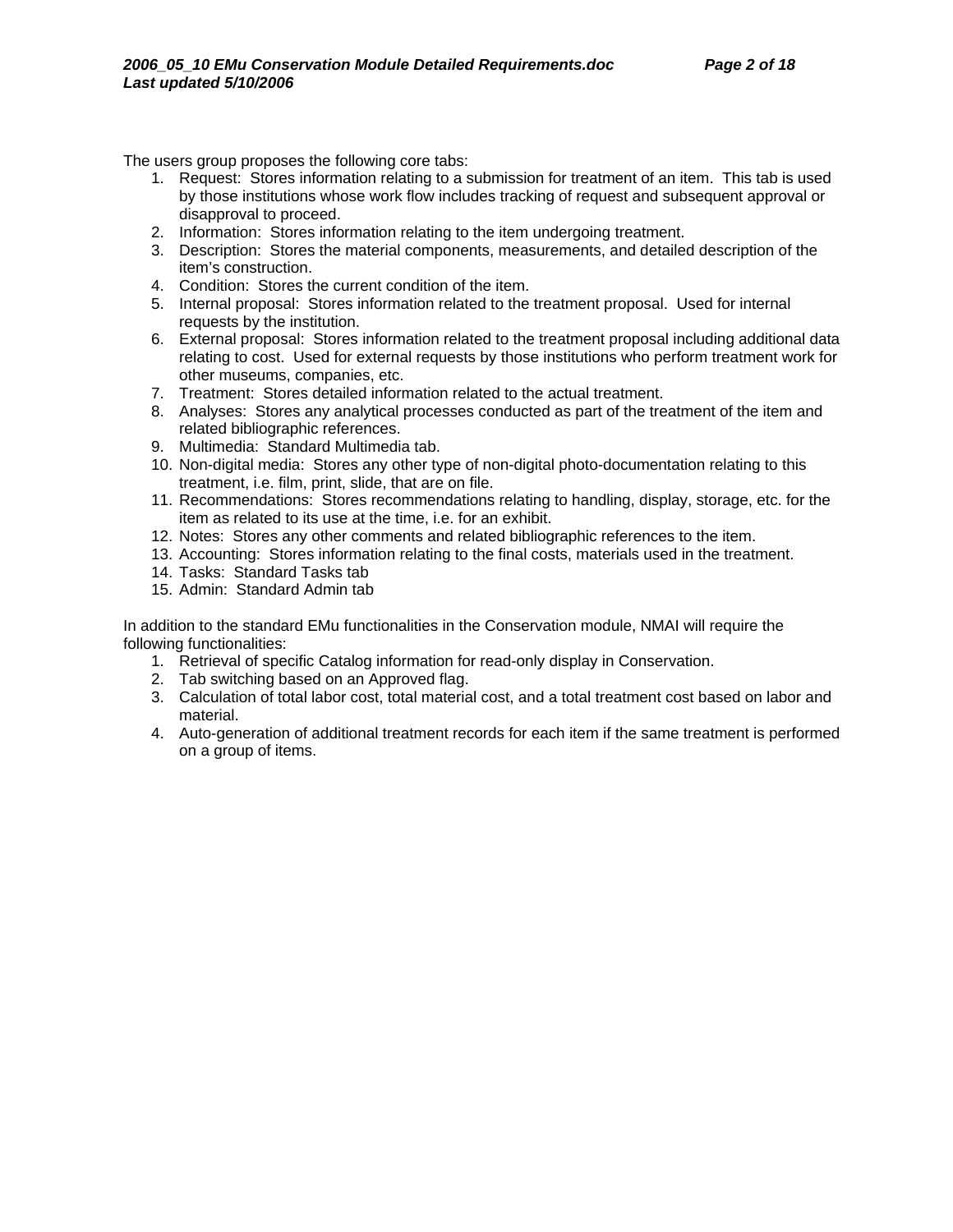The users group proposes the following core tabs:

- 1. Request: Stores information relating to a submission for treatment of an item. This tab is used by those institutions whose work flow includes tracking of request and subsequent approval or disapproval to proceed.
- 2. Information: Stores information relating to the item undergoing treatment.
- 3. Description: Stores the material components, measurements, and detailed description of the item's construction.
- 4. Condition: Stores the current condition of the item.
- 5. Internal proposal: Stores information related to the treatment proposal. Used for internal requests by the institution.
- 6. External proposal: Stores information related to the treatment proposal including additional data relating to cost. Used for external requests by those institutions who perform treatment work for other museums, companies, etc.
- 7. Treatment: Stores detailed information related to the actual treatment.
- 8. Analyses: Stores any analytical processes conducted as part of the treatment of the item and related bibliographic references.
- 9. Multimedia: Standard Multimedia tab.
- 10. Non-digital media: Stores any other type of non-digital photo-documentation relating to this treatment, i.e. film, print, slide, that are on file.
- 11. Recommendations: Stores recommendations relating to handling, display, storage, etc. for the item as related to its use at the time, i.e. for an exhibit.
- 12. Notes: Stores any other comments and related bibliographic references to the item.
- 13. Accounting: Stores information relating to the final costs, materials used in the treatment.
- 14. Tasks: Standard Tasks tab
- 15. Admin: Standard Admin tab

In addition to the standard EMu functionalities in the Conservation module, NMAI will require the following functionalities:

- 1. Retrieval of specific Catalog information for read-only display in Conservation.
- 2. Tab switching based on an Approved flag.
- 3. Calculation of total labor cost, total material cost, and a total treatment cost based on labor and material.
- 4. Auto-generation of additional treatment records for each item if the same treatment is performed on a group of items.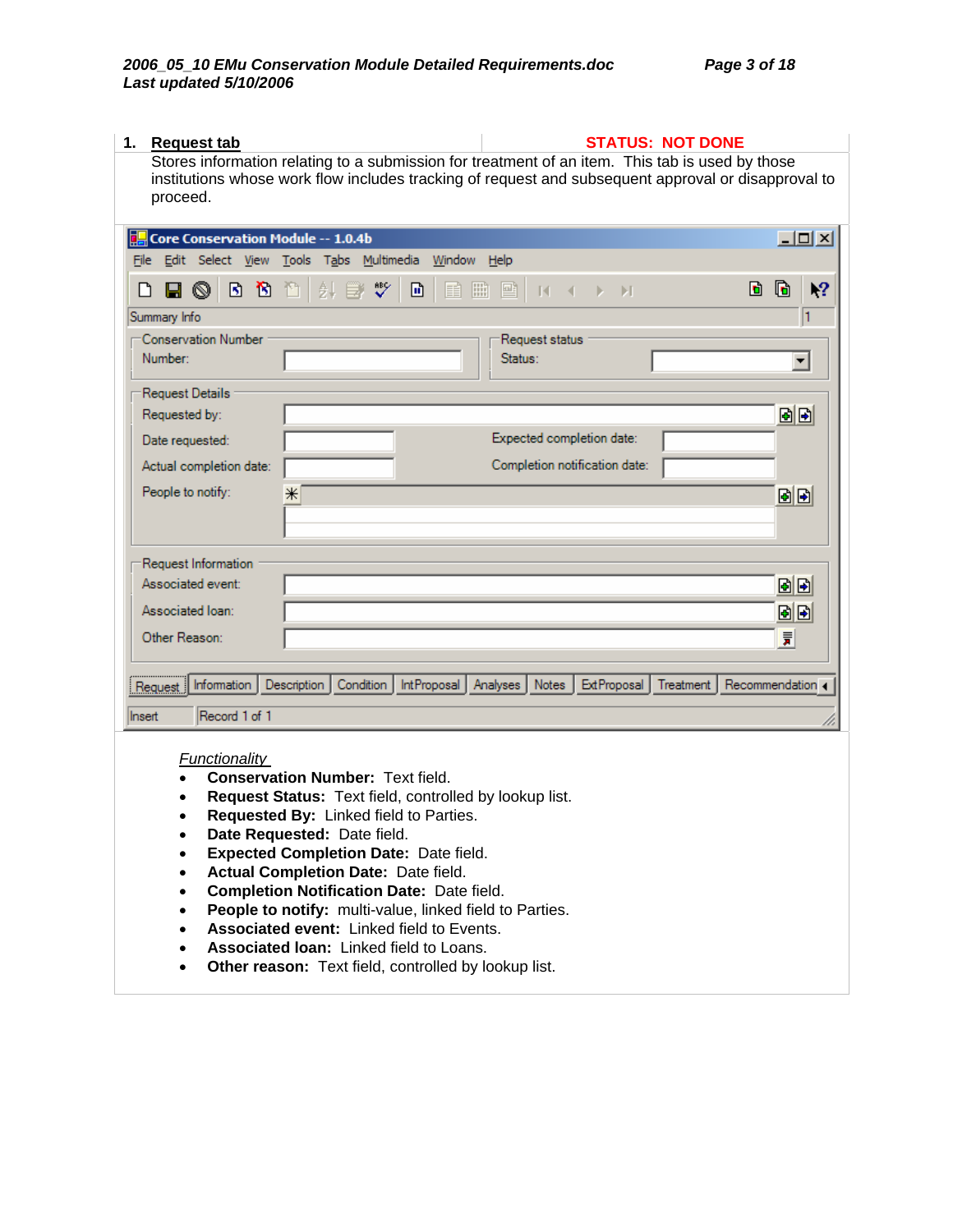| 1.<br><b>Request tab</b>                                                                                    | <b>STATUS: NOT DONE</b>                                                                             |
|-------------------------------------------------------------------------------------------------------------|-----------------------------------------------------------------------------------------------------|
| Stores information relating to a submission for treatment of an item. This tab is used by those<br>proceed. | institutions whose work flow includes tracking of request and subsequent approval or disapproval to |
| Core Conservation Module -- 1.0.4b                                                                          | $-10 \times$                                                                                        |
| File Edit Select View Tools Tabs Multimedia Window Help                                                     |                                                                                                     |
| $\sqrt[8B]{}$<br><b>HOBB</b> DBB<br>団<br>m<br>冊<br>ہ∟                                                       | G<br>$\mathbf{R}$<br>d.<br>■∣<br>$-14 - 4 -$<br>b.<br>Ы                                             |
| Summary Info                                                                                                | l1                                                                                                  |
| <b>Conservation Number</b><br>Number:                                                                       | Request status<br>Status:<br>$\overline{\phantom{a}}$                                               |
|                                                                                                             |                                                                                                     |
| Request Details                                                                                             |                                                                                                     |
| Requested by:                                                                                               | 固固                                                                                                  |
| Date requested:                                                                                             | Expected completion date:                                                                           |
| Actual completion date:                                                                                     | Completion notification date:                                                                       |
| People to notify:<br>$\ast$                                                                                 | 固固                                                                                                  |
|                                                                                                             |                                                                                                     |
|                                                                                                             |                                                                                                     |
| Request Information                                                                                         |                                                                                                     |
| Associated event:                                                                                           | 固固                                                                                                  |
| Associated Ioan:                                                                                            | 固固                                                                                                  |
| Other Reason:                                                                                               | 景                                                                                                   |
|                                                                                                             |                                                                                                     |
| IntProposal Analyses<br>Information<br>Description<br>Condition<br>Request                                  | Notes<br><b>ExtProposal</b><br>Treatment<br>Recommendation 4                                        |
| Record 1 of 1<br>Insert                                                                                     |                                                                                                     |
| Functionality                                                                                               |                                                                                                     |

- **Conservation Number:** Text field.
- **Request Status:** Text field, controlled by lookup list.
- **Requested By:** Linked field to Parties.
- **Date Requested:** Date field.
- **Expected Completion Date:** Date field.
- **Actual Completion Date:** Date field.
- **Completion Notification Date:** Date field.
- **People to notify:** multi-value, linked field to Parties.
- **Associated event:** Linked field to Events.
- **Associated loan:** Linked field to Loans.
- **Other reason:** Text field, controlled by lookup list.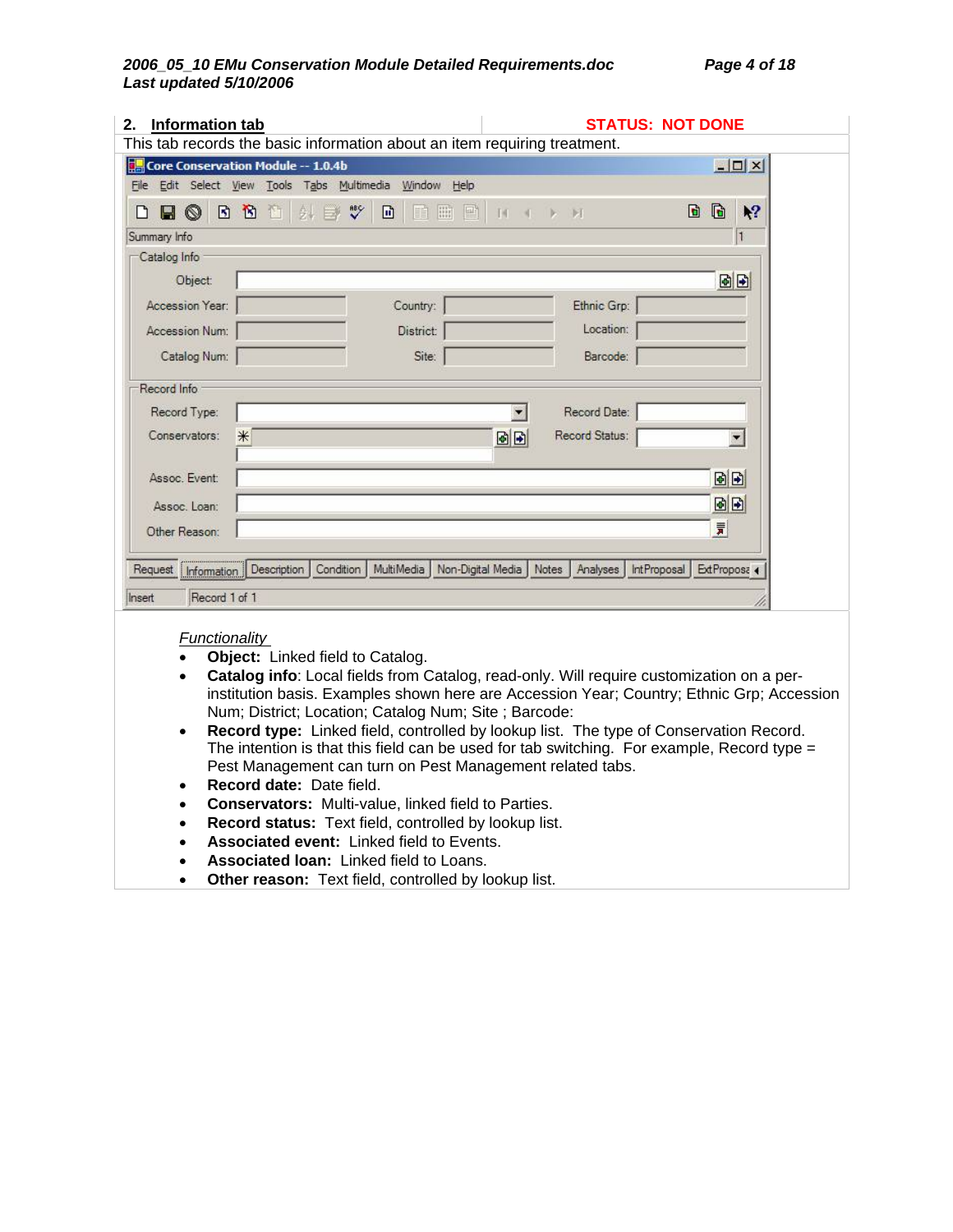| <b>Information tab</b><br>2. |                                                                           | <b>STATUS: NOT DONE</b>                              |                          |
|------------------------------|---------------------------------------------------------------------------|------------------------------------------------------|--------------------------|
|                              | This tab records the basic information about an item requiring treatment. |                                                      |                          |
|                              | Core Conservation Module -- 1.0.4b                                        |                                                      | $ \Box$ $\times$         |
|                              | File Edit Select View Tools Tabs Multimedia Window Help                   |                                                      |                          |
| $\circledcirc$<br>H<br>n     | 日日<br>酉<br>$\tilde{v}$<br>$2+1$<br>団<br>圖<br>圖<br>围                       | 14<br>$\mathbb{R}$ is $\mathbb{R}$                   | $\mathbf{R}^2$<br>G<br>D |
| Summary Info                 |                                                                           |                                                      | $\mathbf{1}$             |
| Catalog Info                 |                                                                           |                                                      |                          |
| Object:                      |                                                                           |                                                      | 固固                       |
| Accession Year:              | Country:                                                                  | Ethnic Grp:                                          |                          |
| Accession Num:               | District:                                                                 | Location:                                            |                          |
| Catalog Num:                 | Site:                                                                     | Barcode:                                             |                          |
| Record Info                  |                                                                           |                                                      |                          |
| Record Type:                 |                                                                           | Record Date:                                         |                          |
| Conservators:                | $*$                                                                       | Record Status:<br>国国                                 |                          |
| Assoc. Event:                |                                                                           |                                                      | 固固                       |
| Assoc. Loan:                 |                                                                           |                                                      | 固固                       |
| Other Reason:                |                                                                           |                                                      | 言                        |
| Request                      | MultiMedia<br>Description<br>Condition                                    | Non-Digital Media   Notes<br>Analyses<br>IntProposal | ExtProposa 4             |
| Information                  |                                                                           |                                                      |                          |
| Record 1 of 1<br>Insert      |                                                                           |                                                      |                          |
| Functionality                |                                                                           |                                                      |                          |

- **Object:** Linked field to Catalog.
- **Catalog info**: Local fields from Catalog, read-only. Will require customization on a perinstitution basis. Examples shown here are Accession Year; Country; Ethnic Grp; Accession Num; District; Location; Catalog Num; Site ; Barcode:
- **Record type:** Linked field, controlled by lookup list. The type of Conservation Record. The intention is that this field can be used for tab switching. For example, Record type = Pest Management can turn on Pest Management related tabs.
- **Record date:** Date field.
- **Conservators:** Multi-value, linked field to Parties.
- **Record status:** Text field, controlled by lookup list.
- **Associated event:** Linked field to Events.
- **Associated loan:** Linked field to Loans.
- **Other reason:** Text field, controlled by lookup list.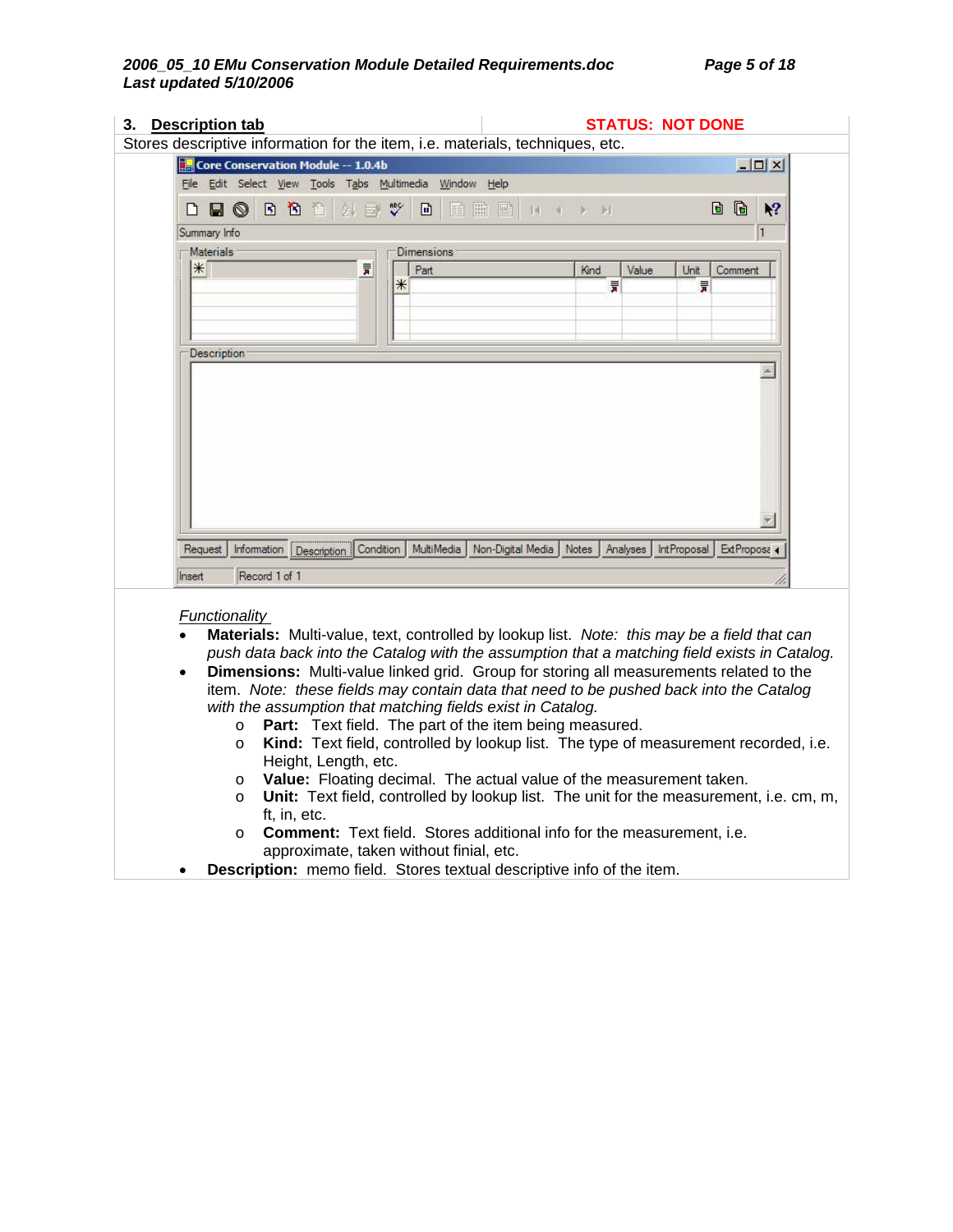| 3. Description tab   |                                    | Stores descriptive information for the item, i.e. materials, techniques, etc.                                    |                                | <b>STATUS: NOT DONE</b>  |          |                    |              |                  |
|----------------------|------------------------------------|------------------------------------------------------------------------------------------------------------------|--------------------------------|--------------------------|----------|--------------------|--------------|------------------|
|                      | Core Conservation Module -- 1.0.4b |                                                                                                                  |                                |                          |          |                    |              | $ \Box$ $\times$ |
|                      |                                    | File Edit Select View Tools Tabs Multimedia Window Help                                                          |                                |                          |          |                    |              |                  |
| $\blacksquare$<br>L٦ | B B B I                            | 斜目奖<br>⊡                                                                                                         | 自曲目                            | $14 \times 12 \times 14$ |          |                    | G<br>D       | $\mathbb{R}^2$   |
| Summary Info         |                                    |                                                                                                                  |                                |                          |          |                    |              | 1                |
| <b>Materials</b>     |                                    | <b>Dimensions</b>                                                                                                |                                |                          |          |                    |              |                  |
| $*$                  |                                    | $\overline{\overline{\pi}}$<br>Part                                                                              |                                | Kind                     | Value    | Unit               | Comment      |                  |
|                      |                                    | ⋇                                                                                                                |                                | 言                        |          | 言                  |              |                  |
|                      |                                    |                                                                                                                  |                                |                          |          |                    |              |                  |
|                      |                                    |                                                                                                                  |                                |                          |          |                    |              |                  |
| Description          |                                    |                                                                                                                  |                                |                          |          |                    |              |                  |
|                      |                                    |                                                                                                                  |                                |                          |          |                    |              | $\blacktriangle$ |
|                      |                                    |                                                                                                                  |                                |                          |          |                    |              |                  |
|                      |                                    |                                                                                                                  |                                |                          |          |                    |              |                  |
|                      |                                    |                                                                                                                  |                                |                          |          |                    |              |                  |
|                      |                                    |                                                                                                                  |                                |                          |          |                    |              |                  |
|                      |                                    |                                                                                                                  |                                |                          |          |                    |              |                  |
|                      |                                    |                                                                                                                  |                                |                          |          |                    |              |                  |
|                      |                                    |                                                                                                                  |                                |                          |          |                    |              |                  |
|                      |                                    |                                                                                                                  |                                |                          |          |                    |              |                  |
|                      |                                    |                                                                                                                  |                                |                          |          |                    |              |                  |
|                      |                                    |                                                                                                                  |                                |                          |          |                    |              |                  |
|                      |                                    |                                                                                                                  |                                |                          |          |                    |              |                  |
|                      |                                    |                                                                                                                  |                                |                          |          |                    |              |                  |
|                      |                                    |                                                                                                                  |                                |                          |          |                    |              |                  |
|                      |                                    |                                                                                                                  |                                |                          |          |                    |              |                  |
| Request              | Information Description Condition  |                                                                                                                  | MultiMedia   Non-Digital Media | Notes                    | Analyses | <b>IntProposal</b> | ExtProposa 4 |                  |
|                      |                                    |                                                                                                                  |                                |                          |          |                    |              |                  |
| Insert               | Record 1 of 1                      |                                                                                                                  |                                |                          |          |                    |              |                  |
|                      |                                    |                                                                                                                  |                                |                          |          |                    |              |                  |
|                      |                                    |                                                                                                                  |                                |                          |          |                    |              |                  |
| <b>Functionality</b> |                                    |                                                                                                                  |                                |                          |          |                    |              |                  |
|                      |                                    | Materials: Multi-value, text, controlled by lookup list. Note: this may be a field that can                      |                                |                          |          |                    |              |                  |
|                      |                                    |                                                                                                                  |                                |                          |          |                    |              |                  |
|                      |                                    | push data back into the Catalog with the assumption that a matching field exists in Catalog.                     |                                |                          |          |                    |              |                  |
| $\bullet$            |                                    | Dimensions: Multi-value linked grid. Group for storing all measurements related to the                           |                                |                          |          |                    |              |                  |
|                      |                                    |                                                                                                                  |                                |                          |          |                    |              |                  |
|                      |                                    | item. Note: these fields may contain data that need to be pushed back into the Catalog                           |                                |                          |          |                    |              |                  |
|                      |                                    | with the assumption that matching fields exist in Catalog.                                                       |                                |                          |          |                    |              |                  |
| $\circ$              |                                    | Part: Text field. The part of the item being measured.                                                           |                                |                          |          |                    |              |                  |
| $\circ$              |                                    |                                                                                                                  |                                |                          |          |                    |              |                  |
|                      |                                    | Kind: Text field, controlled by lookup list. The type of measurement recorded, i.e.                              |                                |                          |          |                    |              |                  |
|                      | Height, Length, etc.               |                                                                                                                  |                                |                          |          |                    |              |                  |
| O                    |                                    | Value: Floating decimal. The actual value of the measurement taken.                                              |                                |                          |          |                    |              |                  |
| O                    |                                    | Unit: Text field, controlled by lookup list. The unit for the measurement, i.e. cm, m,                           |                                |                          |          |                    |              |                  |
|                      | ft, in, etc.                       |                                                                                                                  |                                |                          |          |                    |              |                  |
|                      |                                    |                                                                                                                  |                                |                          |          |                    |              |                  |
| $\circ$              |                                    | <b>Comment:</b> Text field. Stores additional info for the measurement, i.e.                                     |                                |                          |          |                    |              |                  |
|                      |                                    | approximate, taken without finial, etc.<br>Description: memo field. Stores textual descriptive info of the item. |                                |                          |          |                    |              |                  |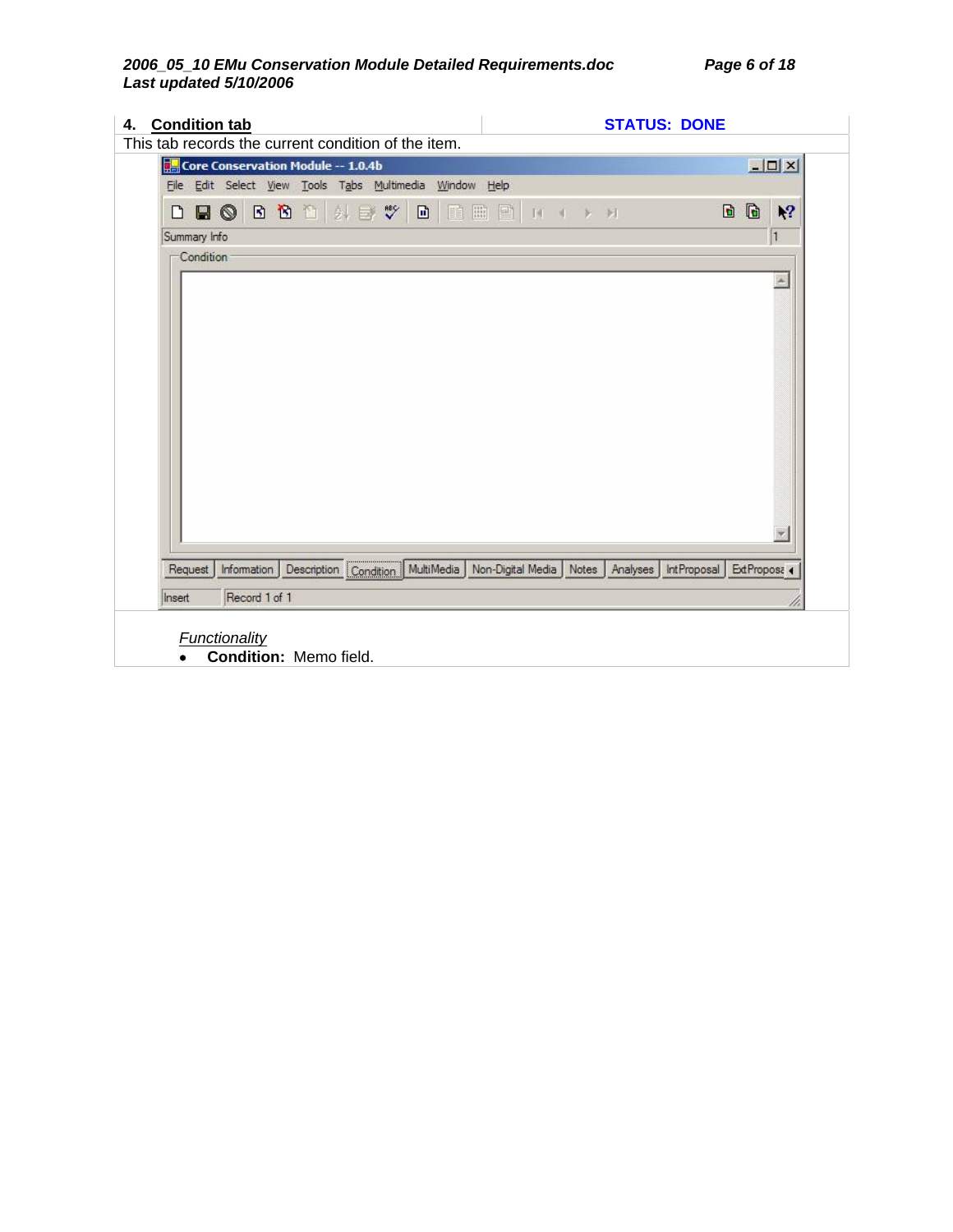### *2006\_05\_10 EMu Conservation Module Detailed Requirements.doc Page 6 of 18 Last updated 5/10/2006*

| 4. Condition tab<br>This tab records the current condition of the item.                                   | <b>STATUS: DONE</b>                          |
|-----------------------------------------------------------------------------------------------------------|----------------------------------------------|
| Core Conservation Module -- 1.0.4b                                                                        | $  I $ $X$                                   |
| File Edit Select View Tools Tabs Multimedia Window Help                                                   |                                              |
| DBOBDD HEYDEEN IN                                                                                         | D D<br>$\sqrt{2}$                            |
| Summary Info                                                                                              | 1                                            |
| Condition<br>Description   Condition   MultiMedia   Non-Digital Media   Notes  <br>Information<br>Request | Ä<br>Analyses<br>IntProposal<br>ExtProposa 4 |
| Record 1 of 1<br>Insert                                                                                   |                                              |
| <b>Functionality</b><br>Condition: Memo field.                                                            |                                              |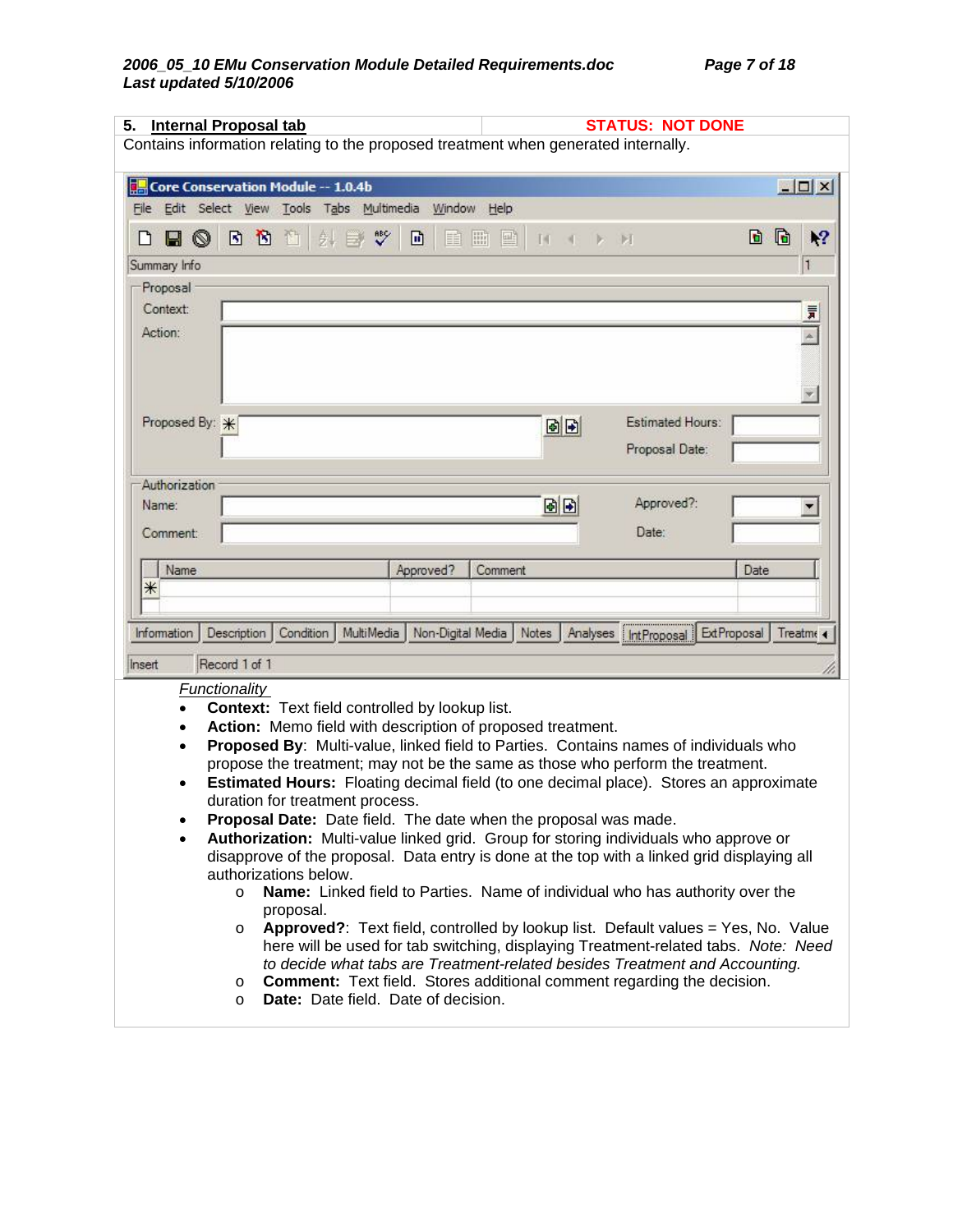|                                                         |               |                                                |                     |           |                   |                                                            | Contains information relating to the proposed treatment when generated internally.                                                                           |                    |                  |
|---------------------------------------------------------|---------------|------------------------------------------------|---------------------|-----------|-------------------|------------------------------------------------------------|--------------------------------------------------------------------------------------------------------------------------------------------------------------|--------------------|------------------|
| Core Conservation Module -- 1.0.4b                      |               |                                                |                     |           |                   |                                                            |                                                                                                                                                              |                    | $ \Box$ $\times$ |
| File Edit Select View Tools Tabs Multimedia Window Help |               |                                                |                     |           |                   |                                                            |                                                                                                                                                              |                    |                  |
| ◙<br>H                                                  | ß<br><b>B</b> | 身<br>不可                                        | $\sqrt[38]{}$<br>E, | 団         | 圖<br>目<br>國       | $\mathbb{N}$                                               | E                                                                                                                                                            | G<br>D             | ١?               |
| Summary Info                                            |               |                                                |                     |           |                   |                                                            |                                                                                                                                                              |                    | 1                |
| Proposal                                                |               |                                                |                     |           |                   |                                                            |                                                                                                                                                              |                    |                  |
| Context:                                                |               |                                                |                     |           |                   |                                                            |                                                                                                                                                              |                    | 睘                |
| Action:                                                 |               |                                                |                     |           |                   |                                                            |                                                                                                                                                              |                    |                  |
|                                                         |               |                                                |                     |           |                   |                                                            |                                                                                                                                                              |                    |                  |
|                                                         |               |                                                |                     |           |                   |                                                            |                                                                                                                                                              |                    |                  |
|                                                         |               |                                                |                     |           |                   |                                                            |                                                                                                                                                              |                    |                  |
| Proposed By: *                                          |               |                                                |                     |           |                   | 固固                                                         | Estimated Hours:                                                                                                                                             |                    |                  |
|                                                         |               |                                                |                     |           |                   |                                                            | Proposal Date:                                                                                                                                               |                    |                  |
|                                                         |               |                                                |                     |           |                   |                                                            |                                                                                                                                                              |                    |                  |
| Authorization                                           |               |                                                |                     |           |                   |                                                            |                                                                                                                                                              |                    |                  |
| Name:                                                   |               |                                                |                     |           |                   | 固固                                                         | Approved?:                                                                                                                                                   |                    |                  |
|                                                         |               |                                                |                     |           |                   |                                                            | Date:                                                                                                                                                        |                    |                  |
| Comment:                                                |               |                                                |                     |           |                   |                                                            |                                                                                                                                                              |                    |                  |
| Name                                                    |               |                                                |                     | Approved? | Comment           |                                                            |                                                                                                                                                              | Date               |                  |
| ⋇                                                       |               |                                                |                     |           |                   |                                                            |                                                                                                                                                              |                    |                  |
|                                                         |               |                                                |                     |           |                   |                                                            |                                                                                                                                                              |                    |                  |
|                                                         |               |                                                |                     |           |                   |                                                            |                                                                                                                                                              |                    |                  |
|                                                         |               |                                                |                     |           |                   |                                                            |                                                                                                                                                              |                    |                  |
|                                                         | Description   | Condition                                      | MultiMedia          |           | Non-Digital Media | Notes                                                      | Analyses   IntProposal                                                                                                                                       | <b>ExtProposal</b> |                  |
|                                                         | Record 1 of 1 |                                                |                     |           |                   |                                                            |                                                                                                                                                              |                    |                  |
|                                                         | Functionality |                                                |                     |           |                   |                                                            |                                                                                                                                                              |                    | Treatme <        |
|                                                         |               | Context: Text field controlled by lookup list. |                     |           |                   |                                                            |                                                                                                                                                              |                    |                  |
|                                                         |               |                                                |                     |           |                   | Action: Memo field with description of proposed treatment. |                                                                                                                                                              |                    |                  |
|                                                         |               |                                                |                     |           |                   |                                                            | Proposed By: Multi-value, linked field to Parties. Contains names of individuals who                                                                         |                    |                  |
|                                                         |               |                                                |                     |           |                   |                                                            | propose the treatment; may not be the same as those who perform the treatment.                                                                               |                    |                  |
|                                                         |               |                                                |                     |           |                   |                                                            | <b>Estimated Hours:</b> Floating decimal field (to one decimal place). Stores an approximate                                                                 |                    |                  |
|                                                         |               | duration for treatment process.                |                     |           |                   |                                                            |                                                                                                                                                              |                    |                  |
|                                                         |               |                                                |                     |           |                   |                                                            | <b>Proposal Date:</b> Date field. The date when the proposal was made.                                                                                       |                    |                  |
|                                                         |               |                                                |                     |           |                   |                                                            | Authorization: Multi-value linked grid. Group for storing individuals who approve or                                                                         |                    |                  |
|                                                         |               |                                                |                     |           |                   |                                                            | disapprove of the proposal. Data entry is done at the top with a linked grid displaying all                                                                  |                    |                  |
|                                                         | $\circ$       | authorizations below.                          |                     |           |                   |                                                            |                                                                                                                                                              |                    |                  |
|                                                         |               | proposal.                                      |                     |           |                   |                                                            | Name: Linked field to Parties. Name of individual who has authority over the                                                                                 |                    |                  |
| Information<br>Insert                                   | $\circ$       |                                                |                     |           |                   |                                                            | Approved?: Text field, controlled by lookup list. Default values = Yes, No. Value                                                                            |                    |                  |
|                                                         |               |                                                |                     |           |                   |                                                            | here will be used for tab switching, displaying Treatment-related tabs. Note: Need                                                                           |                    |                  |
|                                                         | O             |                                                |                     |           |                   |                                                            | to decide what tabs are Treatment-related besides Treatment and Accounting.<br><b>Comment:</b> Text field. Stores additional comment regarding the decision. |                    |                  |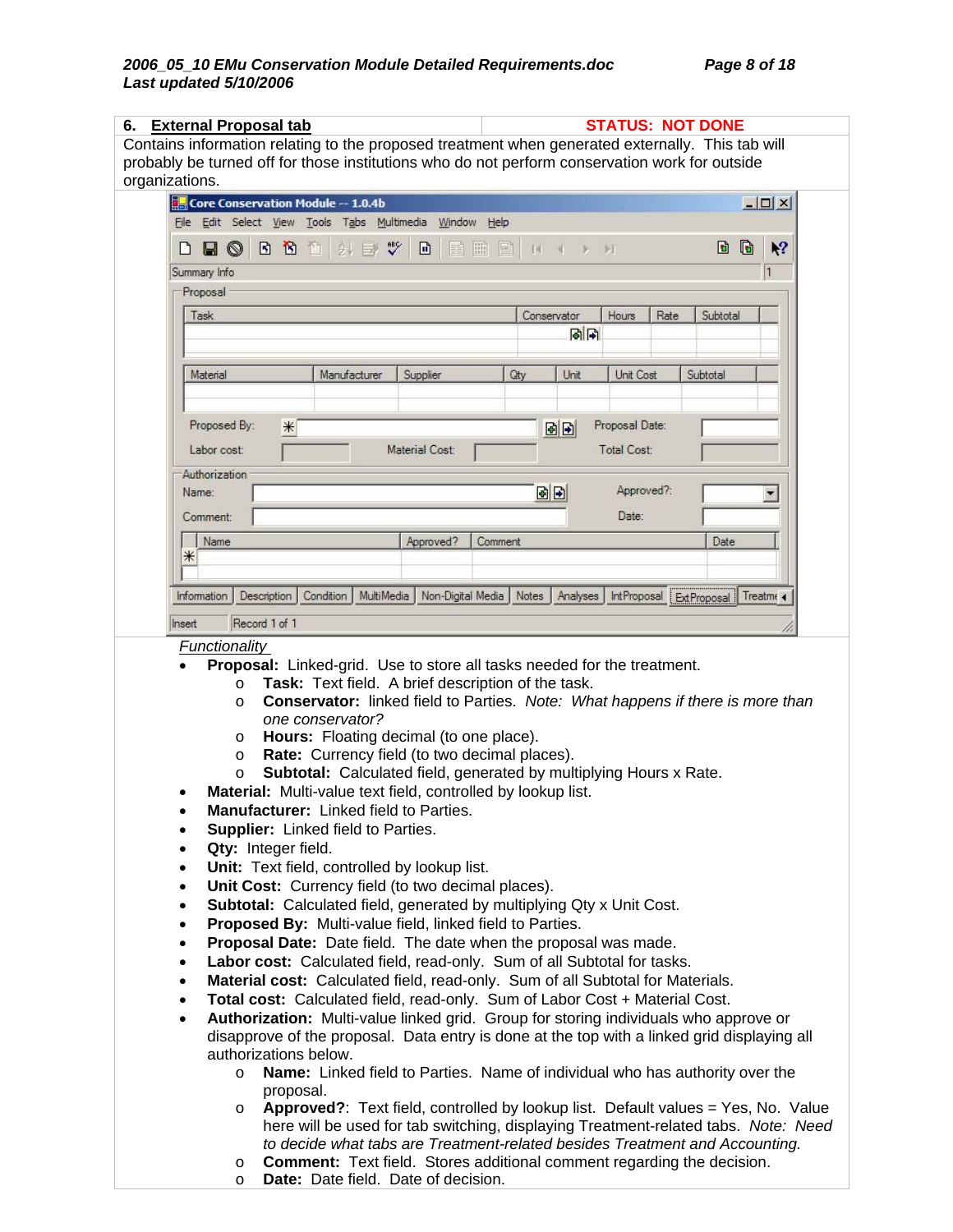| probably be turned off for those institutions who do not perform conservation work for outside<br>organizations.<br>Core Conservation Module -- 1.0.4b<br>$ \Box$ $\times$<br>File Edit Select View Tools Tabs Multimedia Window Help<br>斜目奖<br>G<br>d<br>B B H<br>回<br>冊<br>壓<br>$\mathbf{R}^2$<br>$\blacksquare$<br>圃<br>בו<br>$M1$ by $M2$<br>Summary Info<br>Proposal<br>Conservator<br>Hours<br>Rate<br>Subtotal<br>Task<br>同同<br>Material<br>Manufacturer<br>Unit Cost<br>Subtotal<br>Supplier<br>Qty<br>Unit<br>Proposal Date:<br>Proposed By:<br>$\ast$<br>固固<br>Labor cost:<br>Material Cost:<br><b>Total Cost:</b><br>Authorization<br>Approved?:<br>BB I<br>Name:<br>Date:<br>Comment:<br>Name<br>Approved?<br>Date<br>Comment<br>⋇<br>MultiMedia   Non-Digital Media   Notes   Analyses   IntProposal   ExtProposal   Treatme<br>Information<br>Description Condition<br>Record 1 of 1<br>Insert<br><b>Functionality</b><br>Proposal: Linked-grid. Use to store all tasks needed for the treatment.<br>Task: Text field. A brief description of the task.<br>$\circ$<br><b>Conservator:</b> linked field to Parties. Note: What happens if there is more than<br>$\circ$<br>one conservator?<br>Hours: Floating decimal (to one place).<br>$\circ$<br>Rate: Currency field (to two decimal places).<br>$\circ$<br>Subtotal: Calculated field, generated by multiplying Hours x Rate.<br>$\circ$<br>Material: Multi-value text field, controlled by lookup list.<br>Manufacturer: Linked field to Parties.<br><b>Supplier:</b> Linked field to Parties.<br>$\bullet$<br>Qty: Integer field.<br>$\bullet$<br>Unit: Text field, controlled by lookup list.<br>$\bullet$<br>Unit Cost: Currency field (to two decimal places).<br>$\bullet$<br>Subtotal: Calculated field, generated by multiplying Qty x Unit Cost.<br>$\bullet$<br>Proposed By: Multi-value field, linked field to Parties.<br>$\bullet$<br>Proposal Date: Date field. The date when the proposal was made.<br>$\bullet$<br>Labor cost: Calculated field, read-only. Sum of all Subtotal for tasks.<br>$\bullet$<br>Material cost: Calculated field, read-only. Sum of all Subtotal for Materials.<br>$\bullet$<br>Total cost: Calculated field, read-only. Sum of Labor Cost + Material Cost.<br>$\bullet$<br>Authorization: Multi-value linked grid. Group for storing individuals who approve or<br>$\bullet$<br>disapprove of the proposal. Data entry is done at the top with a linked grid displaying all<br>authorizations below.<br>Name: Linked field to Parties. Name of individual who has authority over the<br>$\circ$<br>proposal.<br>Approved?: Text field, controlled by lookup list. Default values = Yes, No. Value<br>$\circ$<br>here will be used for tab switching, displaying Treatment-related tabs. Note: Need | <b>External Proposal tab</b><br>6.<br>Contains information relating to the proposed treatment when generated externally. This tab will |  | <b>STATUS: NOT DONE</b> |  |
|------------------------------------------------------------------------------------------------------------------------------------------------------------------------------------------------------------------------------------------------------------------------------------------------------------------------------------------------------------------------------------------------------------------------------------------------------------------------------------------------------------------------------------------------------------------------------------------------------------------------------------------------------------------------------------------------------------------------------------------------------------------------------------------------------------------------------------------------------------------------------------------------------------------------------------------------------------------------------------------------------------------------------------------------------------------------------------------------------------------------------------------------------------------------------------------------------------------------------------------------------------------------------------------------------------------------------------------------------------------------------------------------------------------------------------------------------------------------------------------------------------------------------------------------------------------------------------------------------------------------------------------------------------------------------------------------------------------------------------------------------------------------------------------------------------------------------------------------------------------------------------------------------------------------------------------------------------------------------------------------------------------------------------------------------------------------------------------------------------------------------------------------------------------------------------------------------------------------------------------------------------------------------------------------------------------------------------------------------------------------------------------------------------------------------------------------------------------------------------------------------------------------------------------------------------------------------------------------------------------------------------------------------------------------------------------------------------------------------------------------------------------------------------------------------------------|----------------------------------------------------------------------------------------------------------------------------------------|--|-------------------------|--|
|                                                                                                                                                                                                                                                                                                                                                                                                                                                                                                                                                                                                                                                                                                                                                                                                                                                                                                                                                                                                                                                                                                                                                                                                                                                                                                                                                                                                                                                                                                                                                                                                                                                                                                                                                                                                                                                                                                                                                                                                                                                                                                                                                                                                                                                                                                                                                                                                                                                                                                                                                                                                                                                                                                                                                                                                                  |                                                                                                                                        |  |                         |  |
|                                                                                                                                                                                                                                                                                                                                                                                                                                                                                                                                                                                                                                                                                                                                                                                                                                                                                                                                                                                                                                                                                                                                                                                                                                                                                                                                                                                                                                                                                                                                                                                                                                                                                                                                                                                                                                                                                                                                                                                                                                                                                                                                                                                                                                                                                                                                                                                                                                                                                                                                                                                                                                                                                                                                                                                                                  |                                                                                                                                        |  |                         |  |
|                                                                                                                                                                                                                                                                                                                                                                                                                                                                                                                                                                                                                                                                                                                                                                                                                                                                                                                                                                                                                                                                                                                                                                                                                                                                                                                                                                                                                                                                                                                                                                                                                                                                                                                                                                                                                                                                                                                                                                                                                                                                                                                                                                                                                                                                                                                                                                                                                                                                                                                                                                                                                                                                                                                                                                                                                  |                                                                                                                                        |  |                         |  |
|                                                                                                                                                                                                                                                                                                                                                                                                                                                                                                                                                                                                                                                                                                                                                                                                                                                                                                                                                                                                                                                                                                                                                                                                                                                                                                                                                                                                                                                                                                                                                                                                                                                                                                                                                                                                                                                                                                                                                                                                                                                                                                                                                                                                                                                                                                                                                                                                                                                                                                                                                                                                                                                                                                                                                                                                                  |                                                                                                                                        |  |                         |  |
|                                                                                                                                                                                                                                                                                                                                                                                                                                                                                                                                                                                                                                                                                                                                                                                                                                                                                                                                                                                                                                                                                                                                                                                                                                                                                                                                                                                                                                                                                                                                                                                                                                                                                                                                                                                                                                                                                                                                                                                                                                                                                                                                                                                                                                                                                                                                                                                                                                                                                                                                                                                                                                                                                                                                                                                                                  |                                                                                                                                        |  |                         |  |
|                                                                                                                                                                                                                                                                                                                                                                                                                                                                                                                                                                                                                                                                                                                                                                                                                                                                                                                                                                                                                                                                                                                                                                                                                                                                                                                                                                                                                                                                                                                                                                                                                                                                                                                                                                                                                                                                                                                                                                                                                                                                                                                                                                                                                                                                                                                                                                                                                                                                                                                                                                                                                                                                                                                                                                                                                  |                                                                                                                                        |  |                         |  |
|                                                                                                                                                                                                                                                                                                                                                                                                                                                                                                                                                                                                                                                                                                                                                                                                                                                                                                                                                                                                                                                                                                                                                                                                                                                                                                                                                                                                                                                                                                                                                                                                                                                                                                                                                                                                                                                                                                                                                                                                                                                                                                                                                                                                                                                                                                                                                                                                                                                                                                                                                                                                                                                                                                                                                                                                                  |                                                                                                                                        |  |                         |  |
|                                                                                                                                                                                                                                                                                                                                                                                                                                                                                                                                                                                                                                                                                                                                                                                                                                                                                                                                                                                                                                                                                                                                                                                                                                                                                                                                                                                                                                                                                                                                                                                                                                                                                                                                                                                                                                                                                                                                                                                                                                                                                                                                                                                                                                                                                                                                                                                                                                                                                                                                                                                                                                                                                                                                                                                                                  |                                                                                                                                        |  |                         |  |
|                                                                                                                                                                                                                                                                                                                                                                                                                                                                                                                                                                                                                                                                                                                                                                                                                                                                                                                                                                                                                                                                                                                                                                                                                                                                                                                                                                                                                                                                                                                                                                                                                                                                                                                                                                                                                                                                                                                                                                                                                                                                                                                                                                                                                                                                                                                                                                                                                                                                                                                                                                                                                                                                                                                                                                                                                  |                                                                                                                                        |  |                         |  |
|                                                                                                                                                                                                                                                                                                                                                                                                                                                                                                                                                                                                                                                                                                                                                                                                                                                                                                                                                                                                                                                                                                                                                                                                                                                                                                                                                                                                                                                                                                                                                                                                                                                                                                                                                                                                                                                                                                                                                                                                                                                                                                                                                                                                                                                                                                                                                                                                                                                                                                                                                                                                                                                                                                                                                                                                                  |                                                                                                                                        |  |                         |  |
|                                                                                                                                                                                                                                                                                                                                                                                                                                                                                                                                                                                                                                                                                                                                                                                                                                                                                                                                                                                                                                                                                                                                                                                                                                                                                                                                                                                                                                                                                                                                                                                                                                                                                                                                                                                                                                                                                                                                                                                                                                                                                                                                                                                                                                                                                                                                                                                                                                                                                                                                                                                                                                                                                                                                                                                                                  |                                                                                                                                        |  |                         |  |
|                                                                                                                                                                                                                                                                                                                                                                                                                                                                                                                                                                                                                                                                                                                                                                                                                                                                                                                                                                                                                                                                                                                                                                                                                                                                                                                                                                                                                                                                                                                                                                                                                                                                                                                                                                                                                                                                                                                                                                                                                                                                                                                                                                                                                                                                                                                                                                                                                                                                                                                                                                                                                                                                                                                                                                                                                  |                                                                                                                                        |  |                         |  |
|                                                                                                                                                                                                                                                                                                                                                                                                                                                                                                                                                                                                                                                                                                                                                                                                                                                                                                                                                                                                                                                                                                                                                                                                                                                                                                                                                                                                                                                                                                                                                                                                                                                                                                                                                                                                                                                                                                                                                                                                                                                                                                                                                                                                                                                                                                                                                                                                                                                                                                                                                                                                                                                                                                                                                                                                                  |                                                                                                                                        |  |                         |  |
|                                                                                                                                                                                                                                                                                                                                                                                                                                                                                                                                                                                                                                                                                                                                                                                                                                                                                                                                                                                                                                                                                                                                                                                                                                                                                                                                                                                                                                                                                                                                                                                                                                                                                                                                                                                                                                                                                                                                                                                                                                                                                                                                                                                                                                                                                                                                                                                                                                                                                                                                                                                                                                                                                                                                                                                                                  |                                                                                                                                        |  |                         |  |
|                                                                                                                                                                                                                                                                                                                                                                                                                                                                                                                                                                                                                                                                                                                                                                                                                                                                                                                                                                                                                                                                                                                                                                                                                                                                                                                                                                                                                                                                                                                                                                                                                                                                                                                                                                                                                                                                                                                                                                                                                                                                                                                                                                                                                                                                                                                                                                                                                                                                                                                                                                                                                                                                                                                                                                                                                  |                                                                                                                                        |  |                         |  |
|                                                                                                                                                                                                                                                                                                                                                                                                                                                                                                                                                                                                                                                                                                                                                                                                                                                                                                                                                                                                                                                                                                                                                                                                                                                                                                                                                                                                                                                                                                                                                                                                                                                                                                                                                                                                                                                                                                                                                                                                                                                                                                                                                                                                                                                                                                                                                                                                                                                                                                                                                                                                                                                                                                                                                                                                                  |                                                                                                                                        |  |                         |  |
|                                                                                                                                                                                                                                                                                                                                                                                                                                                                                                                                                                                                                                                                                                                                                                                                                                                                                                                                                                                                                                                                                                                                                                                                                                                                                                                                                                                                                                                                                                                                                                                                                                                                                                                                                                                                                                                                                                                                                                                                                                                                                                                                                                                                                                                                                                                                                                                                                                                                                                                                                                                                                                                                                                                                                                                                                  |                                                                                                                                        |  |                         |  |
|                                                                                                                                                                                                                                                                                                                                                                                                                                                                                                                                                                                                                                                                                                                                                                                                                                                                                                                                                                                                                                                                                                                                                                                                                                                                                                                                                                                                                                                                                                                                                                                                                                                                                                                                                                                                                                                                                                                                                                                                                                                                                                                                                                                                                                                                                                                                                                                                                                                                                                                                                                                                                                                                                                                                                                                                                  |                                                                                                                                        |  |                         |  |
|                                                                                                                                                                                                                                                                                                                                                                                                                                                                                                                                                                                                                                                                                                                                                                                                                                                                                                                                                                                                                                                                                                                                                                                                                                                                                                                                                                                                                                                                                                                                                                                                                                                                                                                                                                                                                                                                                                                                                                                                                                                                                                                                                                                                                                                                                                                                                                                                                                                                                                                                                                                                                                                                                                                                                                                                                  |                                                                                                                                        |  |                         |  |
|                                                                                                                                                                                                                                                                                                                                                                                                                                                                                                                                                                                                                                                                                                                                                                                                                                                                                                                                                                                                                                                                                                                                                                                                                                                                                                                                                                                                                                                                                                                                                                                                                                                                                                                                                                                                                                                                                                                                                                                                                                                                                                                                                                                                                                                                                                                                                                                                                                                                                                                                                                                                                                                                                                                                                                                                                  |                                                                                                                                        |  |                         |  |
|                                                                                                                                                                                                                                                                                                                                                                                                                                                                                                                                                                                                                                                                                                                                                                                                                                                                                                                                                                                                                                                                                                                                                                                                                                                                                                                                                                                                                                                                                                                                                                                                                                                                                                                                                                                                                                                                                                                                                                                                                                                                                                                                                                                                                                                                                                                                                                                                                                                                                                                                                                                                                                                                                                                                                                                                                  |                                                                                                                                        |  |                         |  |
|                                                                                                                                                                                                                                                                                                                                                                                                                                                                                                                                                                                                                                                                                                                                                                                                                                                                                                                                                                                                                                                                                                                                                                                                                                                                                                                                                                                                                                                                                                                                                                                                                                                                                                                                                                                                                                                                                                                                                                                                                                                                                                                                                                                                                                                                                                                                                                                                                                                                                                                                                                                                                                                                                                                                                                                                                  |                                                                                                                                        |  |                         |  |
|                                                                                                                                                                                                                                                                                                                                                                                                                                                                                                                                                                                                                                                                                                                                                                                                                                                                                                                                                                                                                                                                                                                                                                                                                                                                                                                                                                                                                                                                                                                                                                                                                                                                                                                                                                                                                                                                                                                                                                                                                                                                                                                                                                                                                                                                                                                                                                                                                                                                                                                                                                                                                                                                                                                                                                                                                  |                                                                                                                                        |  |                         |  |
|                                                                                                                                                                                                                                                                                                                                                                                                                                                                                                                                                                                                                                                                                                                                                                                                                                                                                                                                                                                                                                                                                                                                                                                                                                                                                                                                                                                                                                                                                                                                                                                                                                                                                                                                                                                                                                                                                                                                                                                                                                                                                                                                                                                                                                                                                                                                                                                                                                                                                                                                                                                                                                                                                                                                                                                                                  |                                                                                                                                        |  |                         |  |
|                                                                                                                                                                                                                                                                                                                                                                                                                                                                                                                                                                                                                                                                                                                                                                                                                                                                                                                                                                                                                                                                                                                                                                                                                                                                                                                                                                                                                                                                                                                                                                                                                                                                                                                                                                                                                                                                                                                                                                                                                                                                                                                                                                                                                                                                                                                                                                                                                                                                                                                                                                                                                                                                                                                                                                                                                  |                                                                                                                                        |  |                         |  |
|                                                                                                                                                                                                                                                                                                                                                                                                                                                                                                                                                                                                                                                                                                                                                                                                                                                                                                                                                                                                                                                                                                                                                                                                                                                                                                                                                                                                                                                                                                                                                                                                                                                                                                                                                                                                                                                                                                                                                                                                                                                                                                                                                                                                                                                                                                                                                                                                                                                                                                                                                                                                                                                                                                                                                                                                                  |                                                                                                                                        |  |                         |  |
|                                                                                                                                                                                                                                                                                                                                                                                                                                                                                                                                                                                                                                                                                                                                                                                                                                                                                                                                                                                                                                                                                                                                                                                                                                                                                                                                                                                                                                                                                                                                                                                                                                                                                                                                                                                                                                                                                                                                                                                                                                                                                                                                                                                                                                                                                                                                                                                                                                                                                                                                                                                                                                                                                                                                                                                                                  |                                                                                                                                        |  |                         |  |
|                                                                                                                                                                                                                                                                                                                                                                                                                                                                                                                                                                                                                                                                                                                                                                                                                                                                                                                                                                                                                                                                                                                                                                                                                                                                                                                                                                                                                                                                                                                                                                                                                                                                                                                                                                                                                                                                                                                                                                                                                                                                                                                                                                                                                                                                                                                                                                                                                                                                                                                                                                                                                                                                                                                                                                                                                  |                                                                                                                                        |  |                         |  |
|                                                                                                                                                                                                                                                                                                                                                                                                                                                                                                                                                                                                                                                                                                                                                                                                                                                                                                                                                                                                                                                                                                                                                                                                                                                                                                                                                                                                                                                                                                                                                                                                                                                                                                                                                                                                                                                                                                                                                                                                                                                                                                                                                                                                                                                                                                                                                                                                                                                                                                                                                                                                                                                                                                                                                                                                                  |                                                                                                                                        |  |                         |  |
|                                                                                                                                                                                                                                                                                                                                                                                                                                                                                                                                                                                                                                                                                                                                                                                                                                                                                                                                                                                                                                                                                                                                                                                                                                                                                                                                                                                                                                                                                                                                                                                                                                                                                                                                                                                                                                                                                                                                                                                                                                                                                                                                                                                                                                                                                                                                                                                                                                                                                                                                                                                                                                                                                                                                                                                                                  |                                                                                                                                        |  |                         |  |
|                                                                                                                                                                                                                                                                                                                                                                                                                                                                                                                                                                                                                                                                                                                                                                                                                                                                                                                                                                                                                                                                                                                                                                                                                                                                                                                                                                                                                                                                                                                                                                                                                                                                                                                                                                                                                                                                                                                                                                                                                                                                                                                                                                                                                                                                                                                                                                                                                                                                                                                                                                                                                                                                                                                                                                                                                  |                                                                                                                                        |  |                         |  |
|                                                                                                                                                                                                                                                                                                                                                                                                                                                                                                                                                                                                                                                                                                                                                                                                                                                                                                                                                                                                                                                                                                                                                                                                                                                                                                                                                                                                                                                                                                                                                                                                                                                                                                                                                                                                                                                                                                                                                                                                                                                                                                                                                                                                                                                                                                                                                                                                                                                                                                                                                                                                                                                                                                                                                                                                                  |                                                                                                                                        |  |                         |  |
|                                                                                                                                                                                                                                                                                                                                                                                                                                                                                                                                                                                                                                                                                                                                                                                                                                                                                                                                                                                                                                                                                                                                                                                                                                                                                                                                                                                                                                                                                                                                                                                                                                                                                                                                                                                                                                                                                                                                                                                                                                                                                                                                                                                                                                                                                                                                                                                                                                                                                                                                                                                                                                                                                                                                                                                                                  |                                                                                                                                        |  |                         |  |
|                                                                                                                                                                                                                                                                                                                                                                                                                                                                                                                                                                                                                                                                                                                                                                                                                                                                                                                                                                                                                                                                                                                                                                                                                                                                                                                                                                                                                                                                                                                                                                                                                                                                                                                                                                                                                                                                                                                                                                                                                                                                                                                                                                                                                                                                                                                                                                                                                                                                                                                                                                                                                                                                                                                                                                                                                  |                                                                                                                                        |  |                         |  |
|                                                                                                                                                                                                                                                                                                                                                                                                                                                                                                                                                                                                                                                                                                                                                                                                                                                                                                                                                                                                                                                                                                                                                                                                                                                                                                                                                                                                                                                                                                                                                                                                                                                                                                                                                                                                                                                                                                                                                                                                                                                                                                                                                                                                                                                                                                                                                                                                                                                                                                                                                                                                                                                                                                                                                                                                                  |                                                                                                                                        |  |                         |  |
|                                                                                                                                                                                                                                                                                                                                                                                                                                                                                                                                                                                                                                                                                                                                                                                                                                                                                                                                                                                                                                                                                                                                                                                                                                                                                                                                                                                                                                                                                                                                                                                                                                                                                                                                                                                                                                                                                                                                                                                                                                                                                                                                                                                                                                                                                                                                                                                                                                                                                                                                                                                                                                                                                                                                                                                                                  |                                                                                                                                        |  |                         |  |
|                                                                                                                                                                                                                                                                                                                                                                                                                                                                                                                                                                                                                                                                                                                                                                                                                                                                                                                                                                                                                                                                                                                                                                                                                                                                                                                                                                                                                                                                                                                                                                                                                                                                                                                                                                                                                                                                                                                                                                                                                                                                                                                                                                                                                                                                                                                                                                                                                                                                                                                                                                                                                                                                                                                                                                                                                  |                                                                                                                                        |  |                         |  |
|                                                                                                                                                                                                                                                                                                                                                                                                                                                                                                                                                                                                                                                                                                                                                                                                                                                                                                                                                                                                                                                                                                                                                                                                                                                                                                                                                                                                                                                                                                                                                                                                                                                                                                                                                                                                                                                                                                                                                                                                                                                                                                                                                                                                                                                                                                                                                                                                                                                                                                                                                                                                                                                                                                                                                                                                                  |                                                                                                                                        |  |                         |  |
|                                                                                                                                                                                                                                                                                                                                                                                                                                                                                                                                                                                                                                                                                                                                                                                                                                                                                                                                                                                                                                                                                                                                                                                                                                                                                                                                                                                                                                                                                                                                                                                                                                                                                                                                                                                                                                                                                                                                                                                                                                                                                                                                                                                                                                                                                                                                                                                                                                                                                                                                                                                                                                                                                                                                                                                                                  |                                                                                                                                        |  |                         |  |
|                                                                                                                                                                                                                                                                                                                                                                                                                                                                                                                                                                                                                                                                                                                                                                                                                                                                                                                                                                                                                                                                                                                                                                                                                                                                                                                                                                                                                                                                                                                                                                                                                                                                                                                                                                                                                                                                                                                                                                                                                                                                                                                                                                                                                                                                                                                                                                                                                                                                                                                                                                                                                                                                                                                                                                                                                  |                                                                                                                                        |  |                         |  |
|                                                                                                                                                                                                                                                                                                                                                                                                                                                                                                                                                                                                                                                                                                                                                                                                                                                                                                                                                                                                                                                                                                                                                                                                                                                                                                                                                                                                                                                                                                                                                                                                                                                                                                                                                                                                                                                                                                                                                                                                                                                                                                                                                                                                                                                                                                                                                                                                                                                                                                                                                                                                                                                                                                                                                                                                                  |                                                                                                                                        |  |                         |  |
|                                                                                                                                                                                                                                                                                                                                                                                                                                                                                                                                                                                                                                                                                                                                                                                                                                                                                                                                                                                                                                                                                                                                                                                                                                                                                                                                                                                                                                                                                                                                                                                                                                                                                                                                                                                                                                                                                                                                                                                                                                                                                                                                                                                                                                                                                                                                                                                                                                                                                                                                                                                                                                                                                                                                                                                                                  |                                                                                                                                        |  |                         |  |
|                                                                                                                                                                                                                                                                                                                                                                                                                                                                                                                                                                                                                                                                                                                                                                                                                                                                                                                                                                                                                                                                                                                                                                                                                                                                                                                                                                                                                                                                                                                                                                                                                                                                                                                                                                                                                                                                                                                                                                                                                                                                                                                                                                                                                                                                                                                                                                                                                                                                                                                                                                                                                                                                                                                                                                                                                  |                                                                                                                                        |  |                         |  |
| to decide what tabs are Treatment-related besides Treatment and Accounting.<br><b>Comment:</b> Text field. Stores additional comment regarding the decision.<br>$\circ$                                                                                                                                                                                                                                                                                                                                                                                                                                                                                                                                                                                                                                                                                                                                                                                                                                                                                                                                                                                                                                                                                                                                                                                                                                                                                                                                                                                                                                                                                                                                                                                                                                                                                                                                                                                                                                                                                                                                                                                                                                                                                                                                                                                                                                                                                                                                                                                                                                                                                                                                                                                                                                          |                                                                                                                                        |  |                         |  |
|                                                                                                                                                                                                                                                                                                                                                                                                                                                                                                                                                                                                                                                                                                                                                                                                                                                                                                                                                                                                                                                                                                                                                                                                                                                                                                                                                                                                                                                                                                                                                                                                                                                                                                                                                                                                                                                                                                                                                                                                                                                                                                                                                                                                                                                                                                                                                                                                                                                                                                                                                                                                                                                                                                                                                                                                                  |                                                                                                                                        |  |                         |  |

o **Date:** Date field. Date of decision.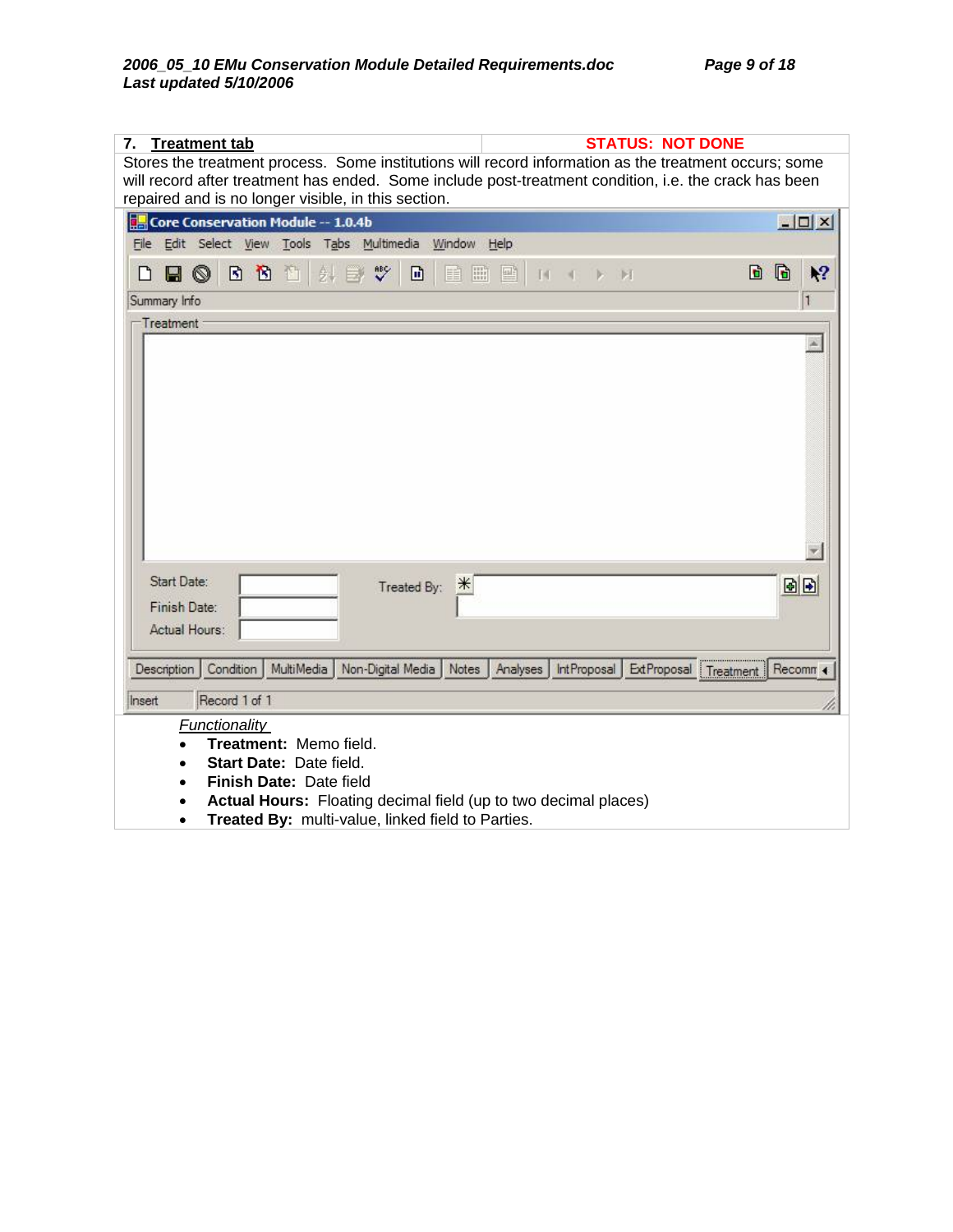| <b>Treatment tab</b><br>7.<br>Stores the treatment process. Some institutions will record information as the treatment occurs; some<br>will record after treatment has ended. Some include post-treatment condition, i.e. the crack has been<br>repaired and is no longer visible, in this section. | <b>STATUS: NOT DONE</b>                                   |              |
|-----------------------------------------------------------------------------------------------------------------------------------------------------------------------------------------------------------------------------------------------------------------------------------------------------|-----------------------------------------------------------|--------------|
| Core Conservation Module -- 1.0.4b                                                                                                                                                                                                                                                                  |                                                           | $\Box$       |
| File Edit Select View Tools Tabs Multimedia Window Help                                                                                                                                                                                                                                             |                                                           |              |
| B B D<br>$\sqrt[36]{}$<br>$\blacksquare$<br>圖<br>6.<br>団<br>目<br>∐<br>$\Box$                                                                                                                                                                                                                        | 剾<br>И<br>И                                               | G<br>١?<br>D |
| Summary Info                                                                                                                                                                                                                                                                                        |                                                           | 1            |
|                                                                                                                                                                                                                                                                                                     |                                                           |              |
| Start Date:<br>Treated By:<br>$*$<br>Finish Date:<br>Actual Hours:                                                                                                                                                                                                                                  |                                                           | 固固           |
| MultiMedia<br>Non-Digital Media   Notes<br>Description<br>Condition                                                                                                                                                                                                                                 | <b>IntProposal</b><br>Analyses<br>ExtProposal   Treatment | Recomm 4     |
| Record 1 of 1<br>Insert<br>Functionality<br>Treatment: Memo field.<br>Start Date: Date field.<br>$\bullet$<br>Finish Date: Date field<br>$\bullet$<br>Actual Hours: Floating decimal field (up to two decimal places)<br>Treated By: multi-value, linked field to Parties.<br>$\bullet$             |                                                           |              |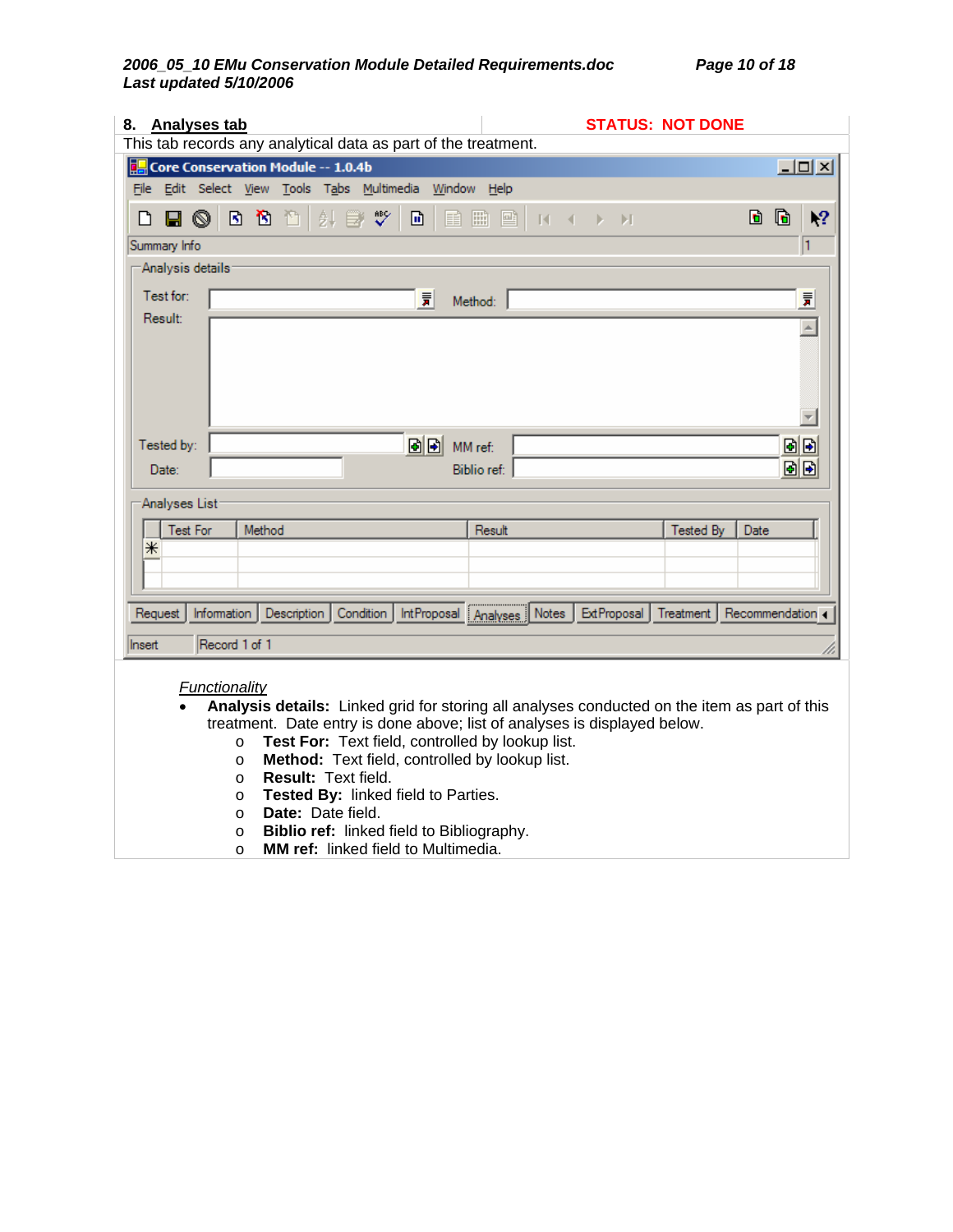## *2006\_05\_10 EMu Conservation Module Detailed Requirements.doc Page 10 of 18 Last updated 5/10/2006*

| 8. Analyses tab<br><b>STATUS: NOT DONE</b>                                                                                                                                |                             |
|---------------------------------------------------------------------------------------------------------------------------------------------------------------------------|-----------------------------|
| This tab records any analytical data as part of the treatment.                                                                                                            |                             |
| Core Conservation Module -- 1.0.4b                                                                                                                                        | 그미지                         |
| File Edit Select View Tools Tabs Multimedia Window Help                                                                                                                   |                             |
| ৺<br>針<br>e q<br>B 16. A<br>剾<br>冊<br>国<br>d<br>目<br>₽<br>D<br>$-14-4$<br>$\blacktriangleright$ $\blacktriangleright$ $\blacktriangleright$ $\blacktriangleright$         | G<br>١?                     |
| Summary Info                                                                                                                                                              | 1                           |
| Analysis details:                                                                                                                                                         |                             |
| Test for:<br>冒<br>Method:                                                                                                                                                 | 景                           |
| Result:                                                                                                                                                                   | $\overline{\blacktriangle}$ |
|                                                                                                                                                                           |                             |
|                                                                                                                                                                           |                             |
|                                                                                                                                                                           |                             |
|                                                                                                                                                                           |                             |
| 固固<br>Tested by:<br>MM ref:                                                                                                                                               | 固固                          |
| Biblio ref:<br>Date:                                                                                                                                                      | 固固                          |
|                                                                                                                                                                           |                             |
| Analyses List                                                                                                                                                             |                             |
| <b>Test For</b><br>Method<br>Result<br>Tested By<br>Date                                                                                                                  |                             |
| ⋇                                                                                                                                                                         |                             |
|                                                                                                                                                                           |                             |
|                                                                                                                                                                           |                             |
| IntProposal Analyses Notes<br>Condition<br>ExtProposal<br>Information<br>Description<br>Treatment<br>Request                                                              | Recommendation 4            |
| Record 1 of 1<br>Insert                                                                                                                                                   |                             |
|                                                                                                                                                                           |                             |
| Functionality                                                                                                                                                             |                             |
| Analysis details: Linked grid for storing all analyses conducted on the item as part of this<br>treatment. Date entry is done above; list of analyses is displayed below. |                             |
| Test For: Text field, controlled by lookup list.<br>$\circ$                                                                                                               |                             |
| Method: Text field, controlled by lookup list.<br>$\circ$                                                                                                                 |                             |
| Result: Text field.<br>$\circ$                                                                                                                                            |                             |
| Tested By: linked field to Parties.<br>$\circ$<br>Date: Date field.                                                                                                       |                             |
| $\circ$<br>Biblio ref: linked field to Bibliography.<br>$\circ$                                                                                                           |                             |

o **MM ref:** linked field to Multimedia.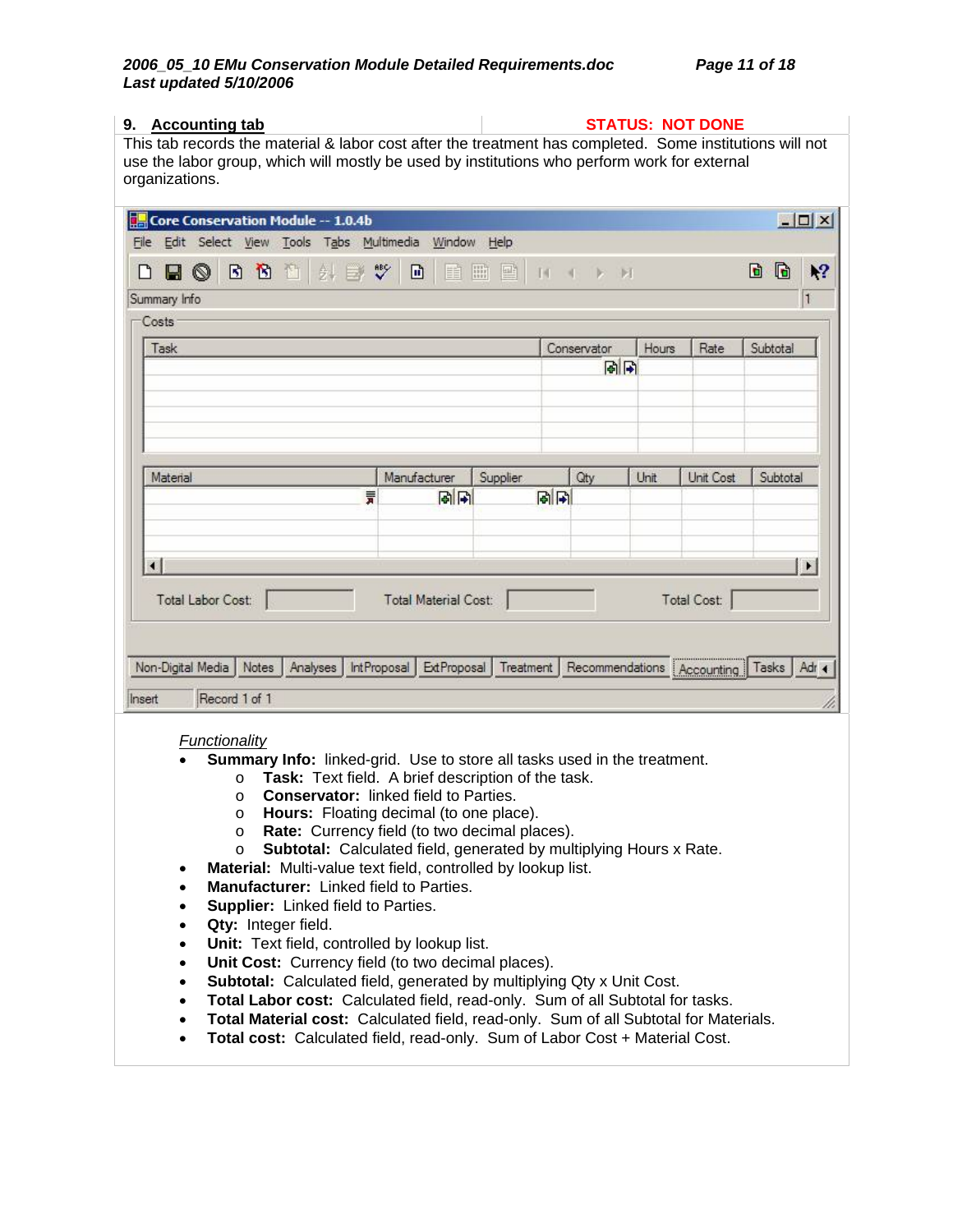| 9. Accounting tab                                                                                                                                                                                                          |                             |                     |                              |       | <b>STATUS: NOT DONE</b> |                  |
|----------------------------------------------------------------------------------------------------------------------------------------------------------------------------------------------------------------------------|-----------------------------|---------------------|------------------------------|-------|-------------------------|------------------|
| This tab records the material & labor cost after the treatment has completed. Some institutions will not<br>use the labor group, which will mostly be used by institutions who perform work for external<br>organizations. |                             |                     |                              |       |                         |                  |
| Core Conservation Module -- 1.0.4b<br>File Edit Select View Tools Tabs Multimedia Window Help                                                                                                                              |                             |                     |                              |       |                         | $ \Box$ $\times$ |
| $\sqrt[8B]{}$<br>$\mathbf{B}$<br>酯<br>団<br>針<br>Н<br>$\circledcirc$<br>$\Rightarrow$<br>Summary Info                                                                                                                       | 団<br>目                      | 圖<br>國<br>$14 - 45$ | <b>D: DI</b>                 |       |                         | b<br>G<br>١?     |
| Costs                                                                                                                                                                                                                      |                             |                     |                              |       |                         |                  |
| Task                                                                                                                                                                                                                       |                             |                     | Conservator<br>岡田            | Hours | Rate                    | Subtotal         |
|                                                                                                                                                                                                                            |                             |                     |                              |       |                         |                  |
| Material                                                                                                                                                                                                                   | Manufacturer                | Supplier            | Qty                          | Unit  | Unit Cost               | Subtotal         |
| 言                                                                                                                                                                                                                          | 岡田                          | 同同                  |                              |       |                         |                  |
| $\left  \cdot \right $                                                                                                                                                                                                     |                             |                     |                              |       |                         | $\blacksquare$   |
| Total Labor Cost:                                                                                                                                                                                                          | <b>Total Material Cost:</b> |                     |                              |       | Total Cost:             |                  |
| Non-Digital Media<br>Notes<br>Analyses<br>IntProposal                                                                                                                                                                      | ExtProposal                 | Treatment           | Recommendations   Accounting |       |                         | Tasks<br>Adr 4   |
| Record 1 of 1<br>Insert                                                                                                                                                                                                    |                             |                     |                              |       |                         |                  |
| Functionality                                                                                                                                                                                                              |                             |                     |                              |       |                         |                  |
| Summary Info: linked-grid. Use to store all tasks used in the treatment.<br>Task: Text field. A brief description of the task.<br>$\circ$<br><b>Conservator: linked field to Parties.</b><br>$\circ$                       |                             |                     |                              |       |                         |                  |

- o **Hours:**Floating decimal (to one place).
- o **Rate:**Currency field (to two decimal places).
- o **Subtotal:**Calculated field, generated by multiplying Hours x Rate.
- **Material:** Multi-value text field, controlled by lookup list.
- **Manufacturer:** Linked field to Parties.
- **Supplier:** Linked field to Parties.
- Qty: Integer field.
- **Unit:** Text field, controlled by lookup list.
- **Unit Cost:** Currency field (to two decimal places).
- **Subtotal:** Calculated field, generated by multiplying Qty x Unit Cost.
- **Total Labor cost:** Calculated field, read-only. Sum of all Subtotal for tasks.
- **Total Material cost:** Calculated field, read-only. Sum of all Subtotal for Materials.
- **Total cost:** Calculated field, read-only. Sum of Labor Cost + Material Cost.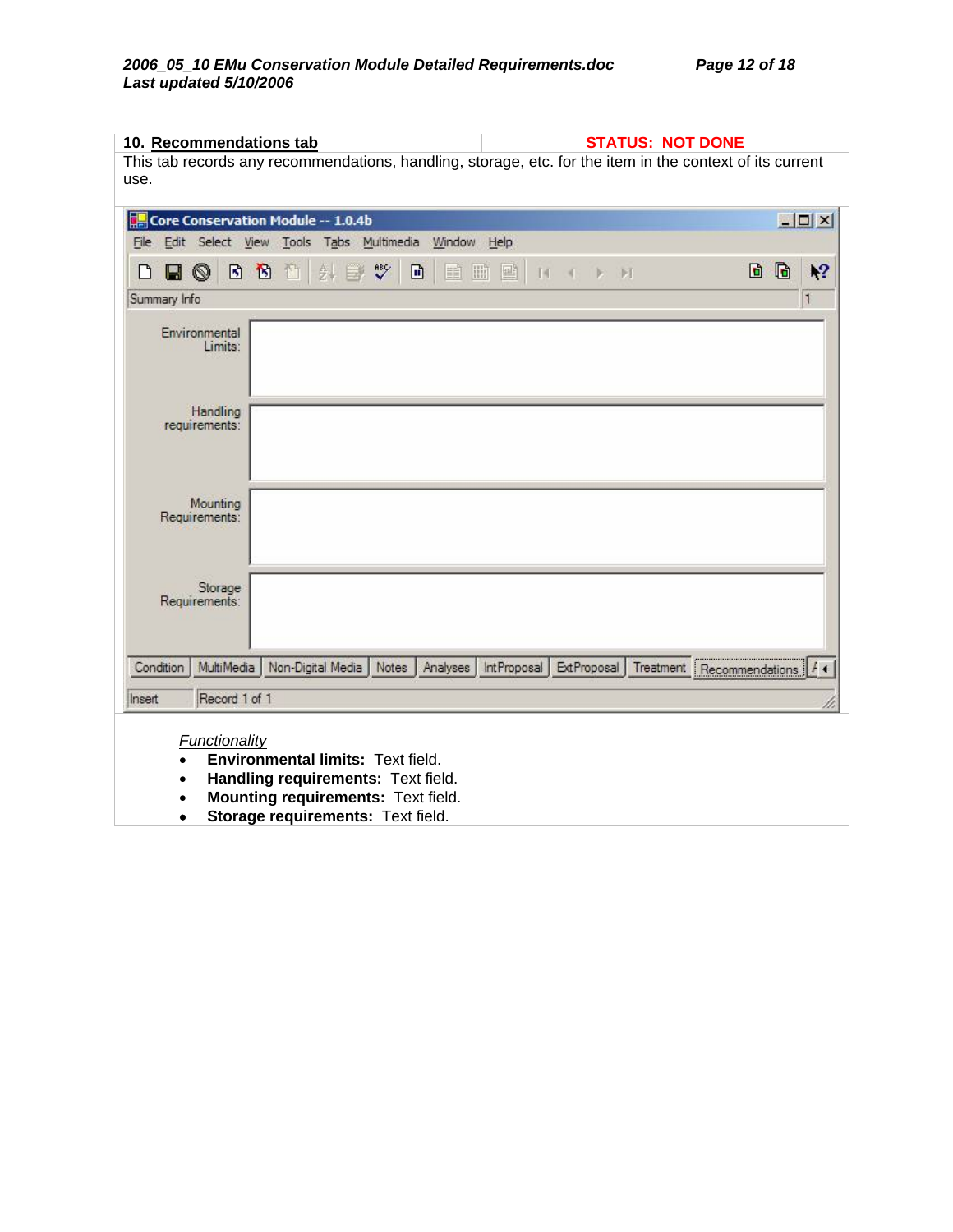| 10. Recommendations tab                                                         | <b>STATUS: NOT DONE</b>                                                                                  |
|---------------------------------------------------------------------------------|----------------------------------------------------------------------------------------------------------|
|                                                                                 | This tab records any recommendations, handling, storage, etc. for the item in the context of its current |
| use.                                                                            |                                                                                                          |
| Core Conservation Module -- 1.0.4b                                              | $ \Box$ $\times$                                                                                         |
| File Edit Select View Tools Tabs Multimedia Window Help                         |                                                                                                          |
|                                                                                 |                                                                                                          |
| $\sqrt[38]{}$<br>$\mathbf{B}$<br>$\blacksquare$<br>団<br>酉<br>e o<br>头<br>睴<br>▯ | G<br>d<br>١?<br>圖<br>國<br>$\mathbb{N}$<br>团                                                              |
| Summary Info                                                                    | 11                                                                                                       |
| Environmental<br>Limits:                                                        |                                                                                                          |
|                                                                                 |                                                                                                          |
| Handling                                                                        |                                                                                                          |
| requirements:                                                                   |                                                                                                          |
|                                                                                 |                                                                                                          |
|                                                                                 |                                                                                                          |
| Mounting<br>Requirements:                                                       |                                                                                                          |
|                                                                                 |                                                                                                          |
|                                                                                 |                                                                                                          |
| Storage                                                                         |                                                                                                          |
| Requirements:                                                                   |                                                                                                          |
|                                                                                 |                                                                                                          |
| Non-Digital Media<br>Condition<br>MultiMedia<br>Notes<br>Analyses               | IntProposal<br>ExtProposal<br>Recommendations $ I \cdot  $<br>Treatment                                  |
|                                                                                 |                                                                                                          |
| Record 1 of 1<br>Insert                                                         |                                                                                                          |
| Functionality                                                                   |                                                                                                          |
| Environmental limits: Text field.                                               |                                                                                                          |
| Handling requirements: Text field.                                              |                                                                                                          |
| Mounting requirements: Text field.                                              |                                                                                                          |
| Storage requirements: Text field.                                               |                                                                                                          |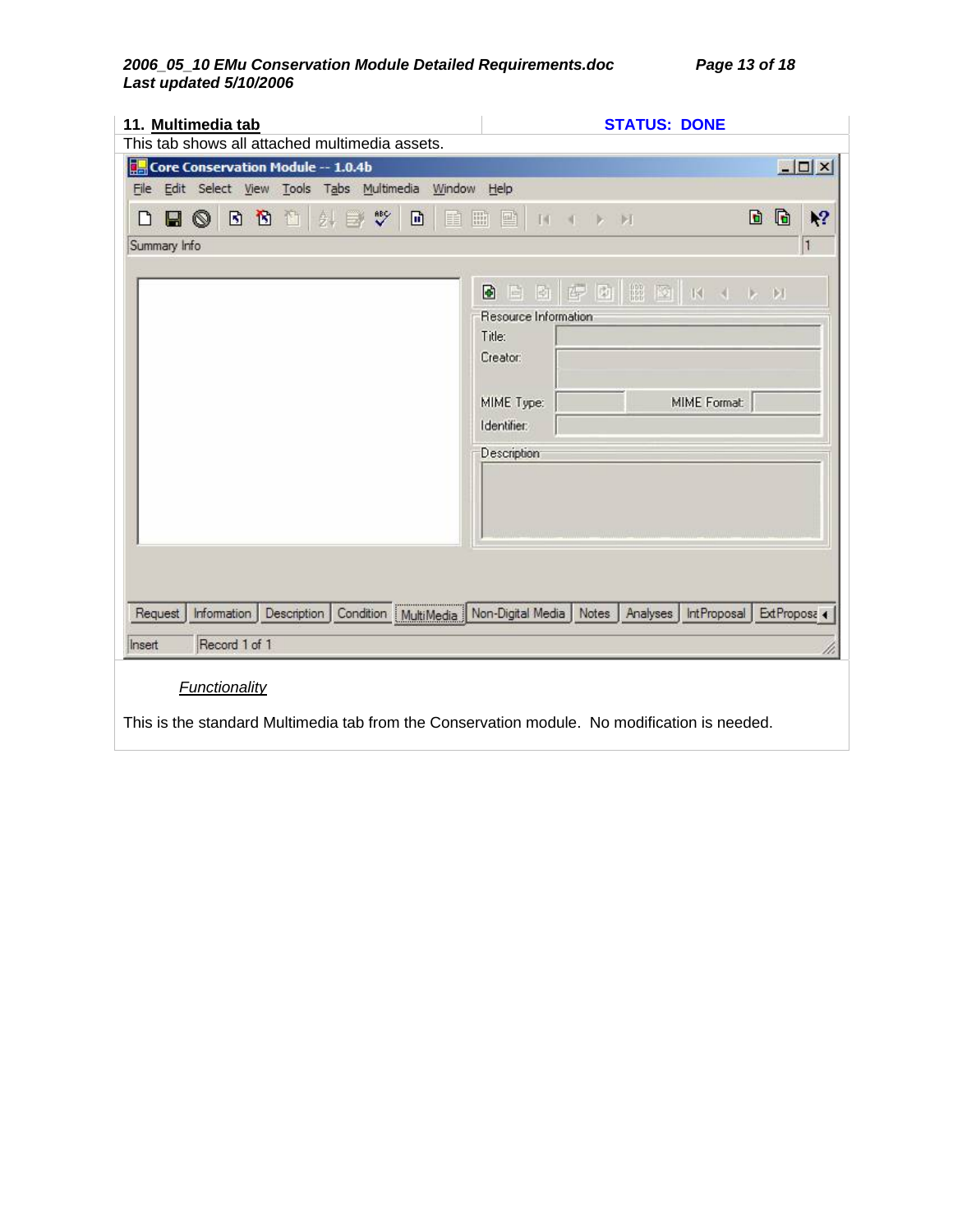### *2006\_05\_10 EMu Conservation Module Detailed Requirements.doc Page 13 of 18 Last updated 5/10/2006*

| 11. Multimedia tab                                                                                                                                                                                                                 | <b>STATUS: DONE</b>                                                                                                          |                    |
|------------------------------------------------------------------------------------------------------------------------------------------------------------------------------------------------------------------------------------|------------------------------------------------------------------------------------------------------------------------------|--------------------|
| This tab shows all attached multimedia assets.<br><b>Core Conservation Module -- 1.0.4b</b>                                                                                                                                        |                                                                                                                              | $ \Box$ $\times$   |
| File Edit Select View Tools Tabs Multimedia Window Help                                                                                                                                                                            |                                                                                                                              |                    |
| $\sqrt[36]{}$<br>団<br>D<br>団<br>◉<br>外<br>單<br>Ť.<br>۱٦<br>Н<br>$\Rightarrow$                                                                                                                                                      | $\mathbf{F}$<br>開<br>靊<br>2 团<br>$\mathbb{N}$                                                                                | $\mathbf{G}$<br>١? |
| Summary Info                                                                                                                                                                                                                       |                                                                                                                              | 11                 |
|                                                                                                                                                                                                                                    | 白白雪回出回 K X X X<br>Ð<br>Resource Information<br>Title:<br>Creator:<br>MIME Format:<br>MIME Type:<br>Identifier<br>Description |                    |
| Condition MultiMedia Non-Digital Media<br>Description<br>Request<br>Information<br>Record 1 of 1<br>Insert<br><b>Functionality</b><br>This is the standard Multimedia tab from the Conservation module. No modification is needed. | Notes<br>Analyses<br><b>IntProposal</b>                                                                                      | ExtProposa         |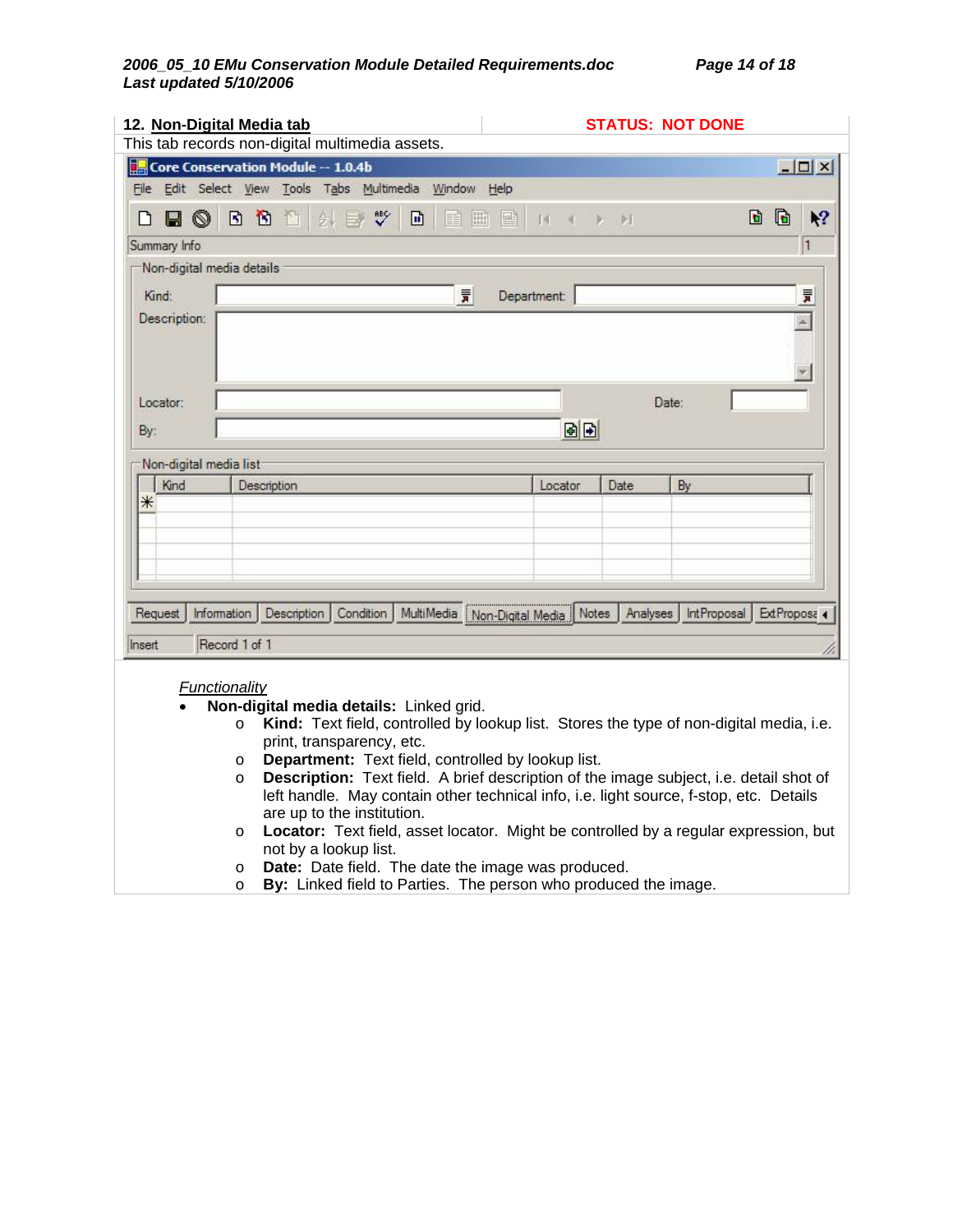### *2006\_05\_10 EMu Conservation Module Detailed Requirements.doc Page 14 of 18 Last updated 5/10/2006*

|                           | 12. Non-Digital Media tab<br>This tab records non-digital multimedia assets. |               |   |             |                                                    |          | <b>STATUS: NOT DONE</b> |                                                                                         |                  |
|---------------------------|------------------------------------------------------------------------------|---------------|---|-------------|----------------------------------------------------|----------|-------------------------|-----------------------------------------------------------------------------------------|------------------|
|                           | Core Conservation Module -- 1.0.4b                                           |               |   |             |                                                    |          |                         |                                                                                         | $ \Box$ $\times$ |
|                           | File Edit Select View Tools Tabs Multimedia Window Help                      |               |   |             |                                                    |          |                         |                                                                                         |                  |
| $\circledcirc$<br>Ы       | 图<br>団<br>栖<br>剪                                                             | $\sqrt[86]{}$ | 団 | 圖<br>國<br>≣ | $\mathbb{N}$                                       | H        |                         | G<br>b                                                                                  | ١?               |
| Summary Info              |                                                                              |               |   |             |                                                    |          |                         |                                                                                         | $\vert$ 1        |
| Non-digital media details |                                                                              |               |   |             |                                                    |          |                         |                                                                                         |                  |
| Kind:                     |                                                                              |               |   | 景           | Department:                                        |          |                         |                                                                                         | 言                |
| Description:              |                                                                              |               |   |             |                                                    |          |                         |                                                                                         |                  |
|                           |                                                                              |               |   |             |                                                    |          |                         |                                                                                         |                  |
|                           |                                                                              |               |   |             |                                                    |          |                         |                                                                                         |                  |
| Locator:                  |                                                                              |               |   |             |                                                    |          | Date:                   |                                                                                         |                  |
|                           |                                                                              |               |   |             |                                                    |          |                         |                                                                                         |                  |
| By:                       |                                                                              |               |   |             | 固固                                                 |          |                         |                                                                                         |                  |
| Non-digital media list    |                                                                              |               |   |             |                                                    |          |                         |                                                                                         |                  |
| Kind                      | Description                                                                  |               |   |             | Locator                                            | Date     | By                      |                                                                                         |                  |
| ⋇                         |                                                                              |               |   |             |                                                    |          |                         |                                                                                         |                  |
|                           |                                                                              |               |   |             |                                                    |          |                         |                                                                                         |                  |
|                           |                                                                              |               |   |             |                                                    |          |                         |                                                                                         |                  |
|                           |                                                                              |               |   |             |                                                    |          |                         |                                                                                         |                  |
| Request                   | Description<br>Information                                                   | Condition     |   |             | MultiMedia Non-Digital Media Notes                 | Analyses |                         | IntProposal                                                                             | ExtProposa 4     |
|                           |                                                                              |               |   |             |                                                    |          |                         |                                                                                         |                  |
| Insert                    | Record 1 of 1                                                                |               |   |             |                                                    |          |                         |                                                                                         |                  |
|                           | <b>Functionality</b>                                                         |               |   |             |                                                    |          |                         |                                                                                         |                  |
|                           | Non-digital media details: Linked grid.                                      |               |   |             |                                                    |          |                         |                                                                                         |                  |
|                           | $\circ$                                                                      |               |   |             |                                                    |          |                         | Kind: Text field, controlled by lookup list. Stores the type of non-digital media, i.e. |                  |
|                           | print, transparency, etc.                                                    |               |   |             |                                                    |          |                         |                                                                                         |                  |
|                           | Department: Text field, controlled by lookup list.<br>O<br>$\circ$           |               |   |             |                                                    |          |                         | Description: Text field. A brief description of the image subject, i.e. detail shot of  |                  |
|                           |                                                                              |               |   |             |                                                    |          |                         | left handle. May contain other technical info, i.e. light source, f-stop, etc. Details  |                  |
|                           | are up to the institution.                                                   |               |   |             |                                                    |          |                         |                                                                                         |                  |
|                           | $\circ$<br>not by a lookup list.                                             |               |   |             |                                                    |          |                         | Locator: Text field, asset locator. Might be controlled by a regular expression, but    |                  |
|                           | O                                                                            |               |   |             | Date: Date field. The date the image was produced. |          |                         |                                                                                         |                  |

o **By:** Linked field to Parties. The person who produced the image.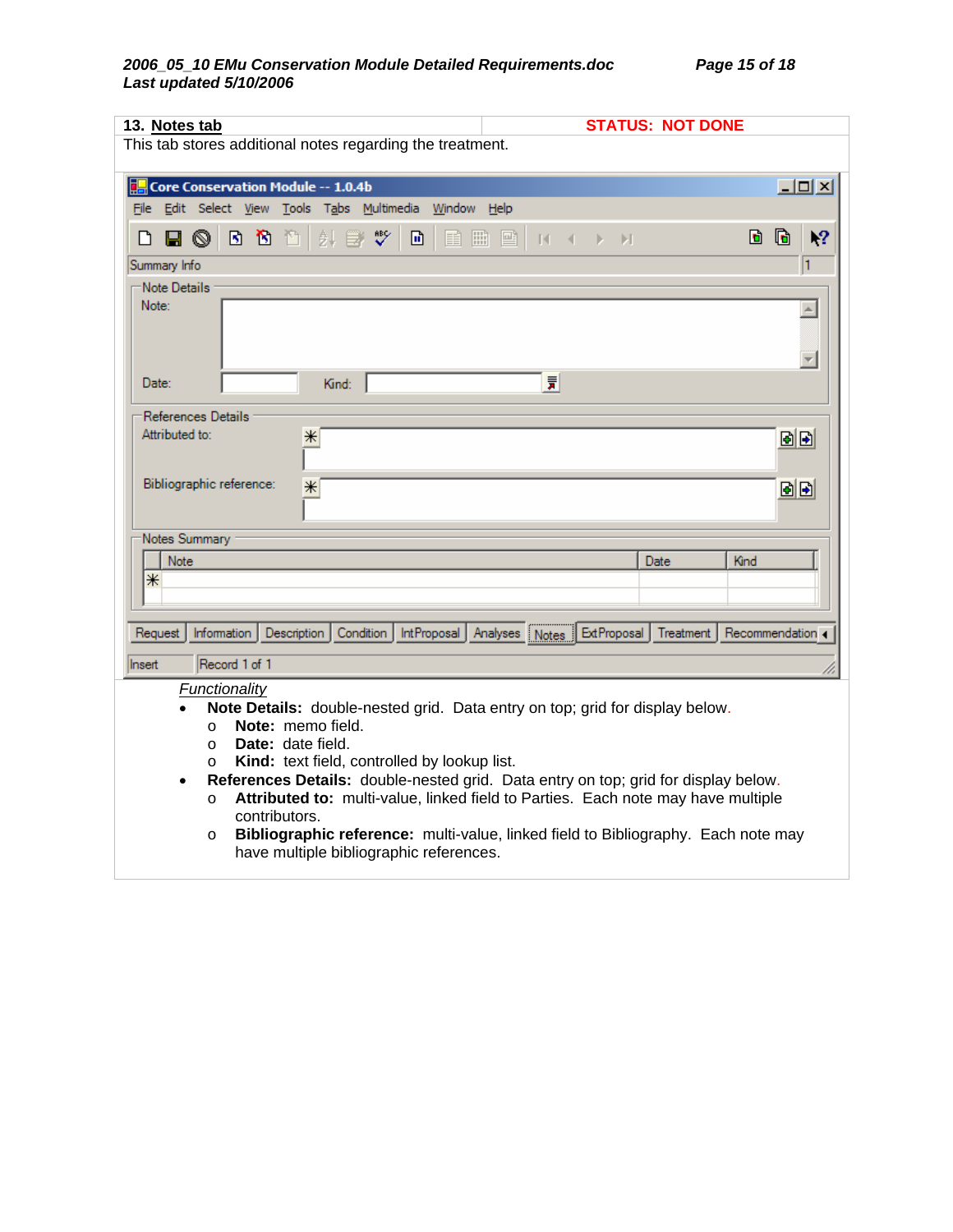| 13. Notes tab                                                                                                                                                                                                                                                                                                                                                                                                                                                                                                                                                                                 | <b>STATUS: NOT DONE</b>                |  |  |  |  |  |
|-----------------------------------------------------------------------------------------------------------------------------------------------------------------------------------------------------------------------------------------------------------------------------------------------------------------------------------------------------------------------------------------------------------------------------------------------------------------------------------------------------------------------------------------------------------------------------------------------|----------------------------------------|--|--|--|--|--|
| This tab stores additional notes regarding the treatment.                                                                                                                                                                                                                                                                                                                                                                                                                                                                                                                                     |                                        |  |  |  |  |  |
| Core Conservation Module -- 1.0.4b                                                                                                                                                                                                                                                                                                                                                                                                                                                                                                                                                            | 그미지                                    |  |  |  |  |  |
| File Edit Select View Tools Tabs Multimedia<br>Window Help                                                                                                                                                                                                                                                                                                                                                                                                                                                                                                                                    |                                        |  |  |  |  |  |
| ᢟ<br>募<br>団<br>B)<br>$\mathbf{B}$<br>ħ<br>冊<br>8<br>O<br>Ħ                                                                                                                                                                                                                                                                                                                                                                                                                                                                                                                                    | d<br>G<br>۱?<br>剾<br>$\mathbb{R}$<br>ы |  |  |  |  |  |
| Summary Info                                                                                                                                                                                                                                                                                                                                                                                                                                                                                                                                                                                  | 1                                      |  |  |  |  |  |
| Note Details<br>Note:                                                                                                                                                                                                                                                                                                                                                                                                                                                                                                                                                                         |                                        |  |  |  |  |  |
| Date:<br>Kind:                                                                                                                                                                                                                                                                                                                                                                                                                                                                                                                                                                                | 责                                      |  |  |  |  |  |
| References Details<br>Attributed to:<br>⋇<br>Bibliographic reference:<br>$\ast$                                                                                                                                                                                                                                                                                                                                                                                                                                                                                                               | 固固<br>固固                               |  |  |  |  |  |
| Notes Summary                                                                                                                                                                                                                                                                                                                                                                                                                                                                                                                                                                                 |                                        |  |  |  |  |  |
| Note<br>$\ast$                                                                                                                                                                                                                                                                                                                                                                                                                                                                                                                                                                                | Kind<br>Date                           |  |  |  |  |  |
|                                                                                                                                                                                                                                                                                                                                                                                                                                                                                                                                                                                               |                                        |  |  |  |  |  |
| <b>ExtProposal</b><br>Information<br>Description<br>Condition<br>IntProposal<br>Analyses Notes<br>Treatment<br>Recommendation<br>Request                                                                                                                                                                                                                                                                                                                                                                                                                                                      |                                        |  |  |  |  |  |
| Record 1 of 1<br>Insert                                                                                                                                                                                                                                                                                                                                                                                                                                                                                                                                                                       |                                        |  |  |  |  |  |
| Functionality<br>Note Details: double-nested grid. Data entry on top; grid for display below.<br>Note: memo field.<br>$\circ$<br><b>Date:</b> date field.<br>$\circ$<br>Kind: text field, controlled by lookup list.<br>$\circ$<br>References Details: double-nested grid. Data entry on top; grid for display below.<br>$\bullet$<br>Attributed to: multi-value, linked field to Parties. Each note may have multiple<br>$\circ$<br>contributors.<br>Bibliographic reference: multi-value, linked field to Bibliography. Each note may<br>$\circ$<br>have multiple bibliographic references. |                                        |  |  |  |  |  |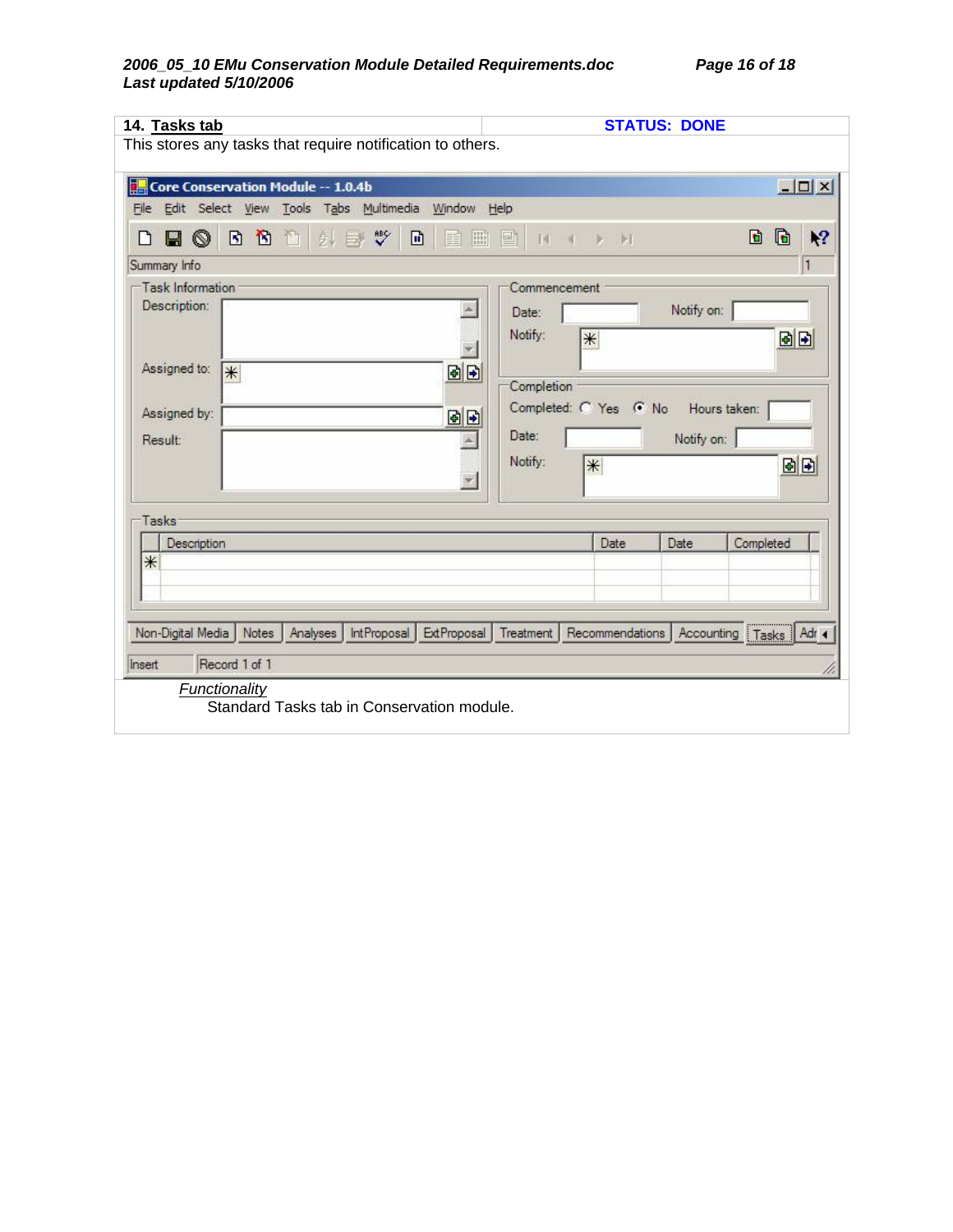### *2006\_05\_10 EMu Conservation Module Detailed Requirements.doc Page 16 of 18 Last updated 5/10/2006*

|                     |                                    | This stores any tasks that require notification to others. |             |              |                       |            |                            |                  |
|---------------------|------------------------------------|------------------------------------------------------------|-------------|--------------|-----------------------|------------|----------------------------|------------------|
|                     | Core Conservation Module -- 1.0.4b |                                                            |             |              |                       |            |                            | $ \Box$ $\times$ |
|                     |                                    | File Edit Select View Tools Tabs Multimedia Window Help    |             |              |                       |            |                            |                  |
| Н<br>$\circledcirc$ | 団<br>$\mathbf{B}$<br>酉             | $\sqrt[36]{}$<br>鼽<br>団<br>B                               | 圖<br>重      | 國<br>14      | <b>D: DT</b>          |            | G<br>D                     | ١?               |
| Summary Info        |                                    |                                                            |             |              |                       |            |                            | 1                |
| Task Information    |                                    |                                                            |             | Commencement |                       |            |                            |                  |
| Description:        |                                    |                                                            |             | Date:        |                       | Notify on: |                            |                  |
|                     |                                    |                                                            |             | Notify:      | $\divideontimes$      |            | 固固                         |                  |
|                     |                                    |                                                            |             |              |                       |            |                            |                  |
| Assigned to:        | *                                  |                                                            | 固日          | Completion   |                       |            |                            |                  |
|                     |                                    |                                                            |             |              | Completed: C Yes G No |            | Hours taken:               |                  |
| Assigned by:        |                                    |                                                            | 固日          |              |                       |            |                            |                  |
| <b>Result:</b>      |                                    |                                                            |             | Date:        |                       | Notify on: |                            |                  |
|                     |                                    |                                                            |             | Notify:      | $\ast$                |            |                            | 固固               |
|                     |                                    |                                                            |             |              |                       |            |                            |                  |
| Tasks               |                                    |                                                            |             |              |                       |            |                            |                  |
| Description         |                                    |                                                            |             |              | Date                  | Date       | Completed                  |                  |
| $*$                 |                                    |                                                            |             |              |                       |            |                            |                  |
|                     |                                    |                                                            |             |              |                       |            |                            |                  |
|                     |                                    |                                                            |             |              |                       |            |                            |                  |
| Non-Digital Media   | Notes                              | Analyses<br><b>IntProposal</b>                             | ExtProposal | Treatment    | Recommendations       |            | Accounting   Tasks   Adr 4 |                  |
|                     |                                    |                                                            |             |              |                       |            |                            |                  |
|                     | Record 1 of 1                      |                                                            |             |              |                       |            |                            |                  |
| Insert              | <b>Functionality</b>               |                                                            |             |              |                       |            |                            |                  |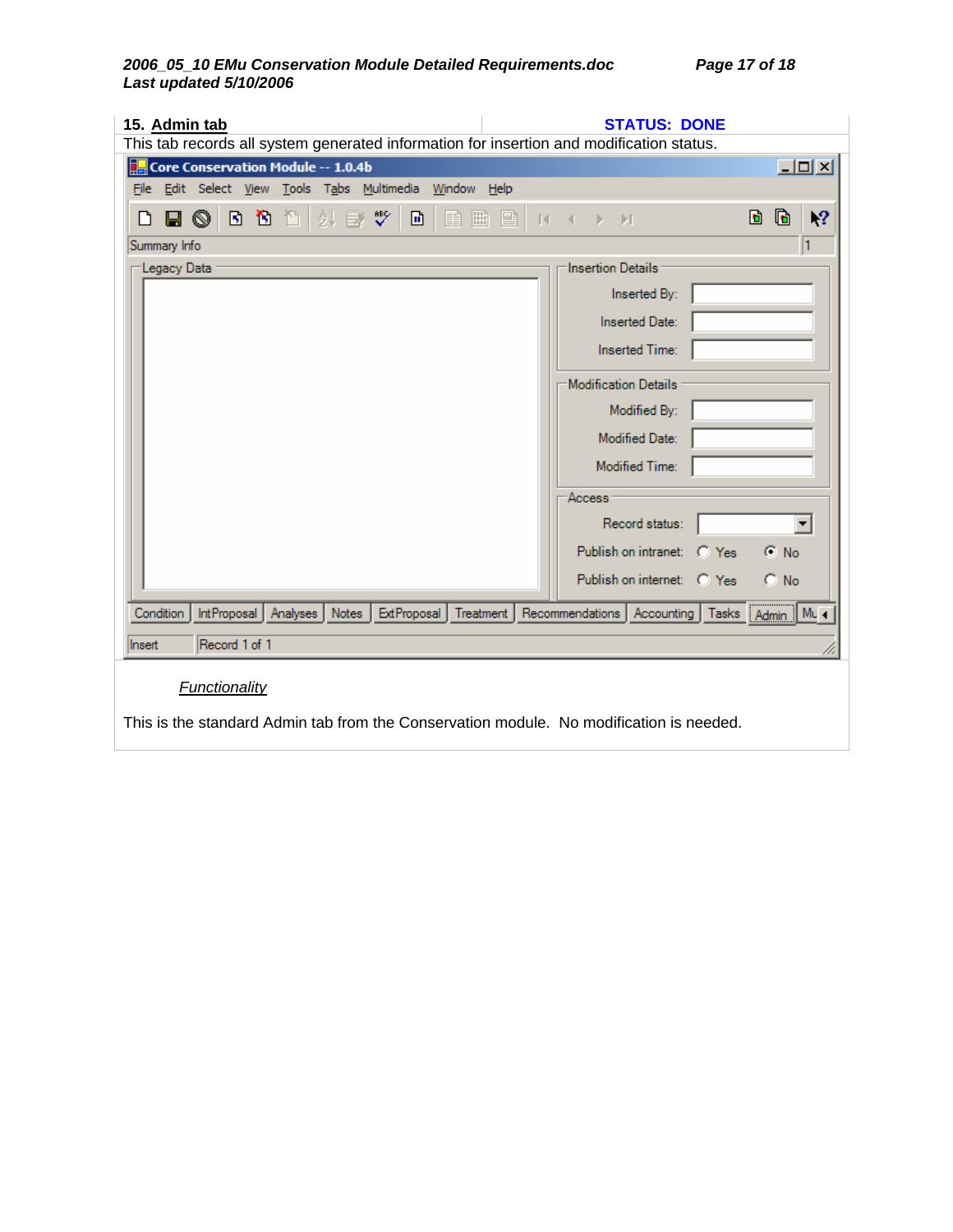| 15. Admin tab<br><b>STATUS: DONE</b><br>This tab records all system generated information for insertion and modification status.                        |                                              |  |  |  |  |
|---------------------------------------------------------------------------------------------------------------------------------------------------------|----------------------------------------------|--|--|--|--|
| Core Conservation Module -- 1.0.4b                                                                                                                      | $\Box$ o $\times$                            |  |  |  |  |
| File Edit Select View Tools Tabs Multimedia Window Help                                                                                                 |                                              |  |  |  |  |
| ᢟ<br>⊡<br>88 M<br>ましき<br>冊<br>◉<br>目<br>圖<br>n<br>9                                                                                                     | G<br>d.<br>١?<br>$N \rightarrow N$           |  |  |  |  |
| Summary Info                                                                                                                                            | 11                                           |  |  |  |  |
| Legacy Data                                                                                                                                             | Insertion Details                            |  |  |  |  |
|                                                                                                                                                         | Inserted By:                                 |  |  |  |  |
|                                                                                                                                                         | Inserted Date:                               |  |  |  |  |
|                                                                                                                                                         | Inserted Time:                               |  |  |  |  |
|                                                                                                                                                         | Modification Details                         |  |  |  |  |
|                                                                                                                                                         | Modified By:                                 |  |  |  |  |
|                                                                                                                                                         | <b>Modified Date:</b>                        |  |  |  |  |
|                                                                                                                                                         | Modified Time:                               |  |  |  |  |
|                                                                                                                                                         | Access                                       |  |  |  |  |
|                                                                                                                                                         | Record status:<br>▼∣                         |  |  |  |  |
|                                                                                                                                                         | Publish on intranet: C Yes<br>$\subseteq$ No |  |  |  |  |
|                                                                                                                                                         | Publish on internet: C Yes<br>$\subset N_0$  |  |  |  |  |
| Analyses   Notes   ExtProposal   Treatment   Recommendations   Accounting   Tasks   Admin   Mu <<br>Condition<br>IntProposal<br>Record 1 of 1<br>Insert |                                              |  |  |  |  |
| <b>Functionality</b><br>This is the standard Admin tab from the Conservation module. No modification is needed.                                         |                                              |  |  |  |  |